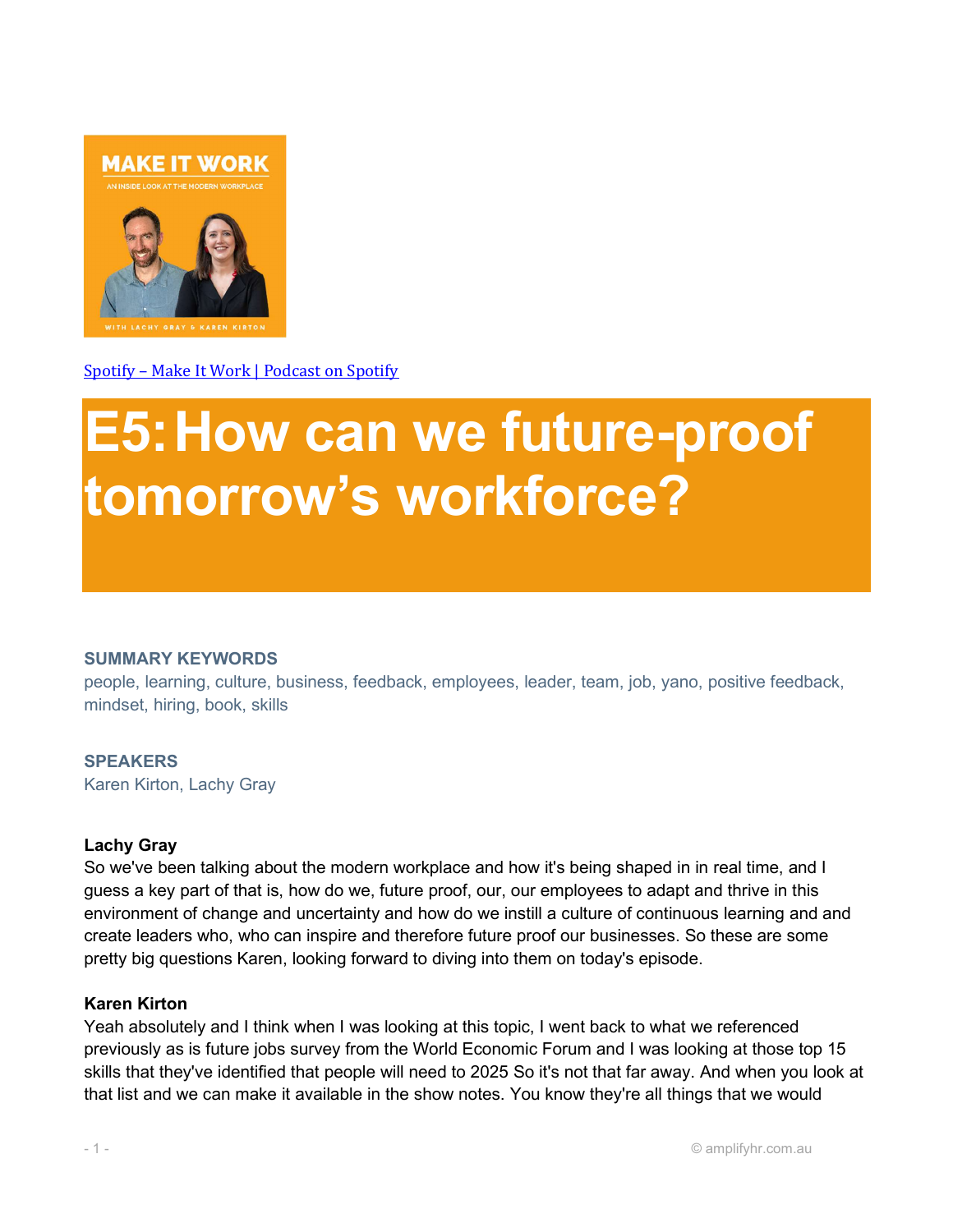

Spotify – Make It Work | Podcast on Spotify

# E5:How can we future-proof tomorrow's workforce?

#### SUMMARY KEYWORDS

people, learning, culture, business, feedback, employees, leader, team, job, yano, positive feedback, mindset, hiring, book, skills

#### **SPEAKERS**

Karen Kirton, Lachy Gray

#### Lachy Gray

So we've been talking about the modern workplace and how it's being shaped in in real time, and I guess a key part of that is, how do we, future proof, our, our employees to adapt and thrive in this environment of change and uncertainty and how do we instill a culture of continuous learning and and create leaders who, who can inspire and therefore future proof our businesses. So these are some pretty big questions Karen, looking forward to diving into them on today's episode.

#### Karen Kirton

Yeah absolutely and I think when I was looking at this topic, I went back to what we referenced previously as is future jobs survey from the World Economic Forum and I was looking at those top 15 skills that they've identified that people will need to 2025 So it's not that far away. And when you look at that list and we can make it available in the show notes. You know they're all things that we would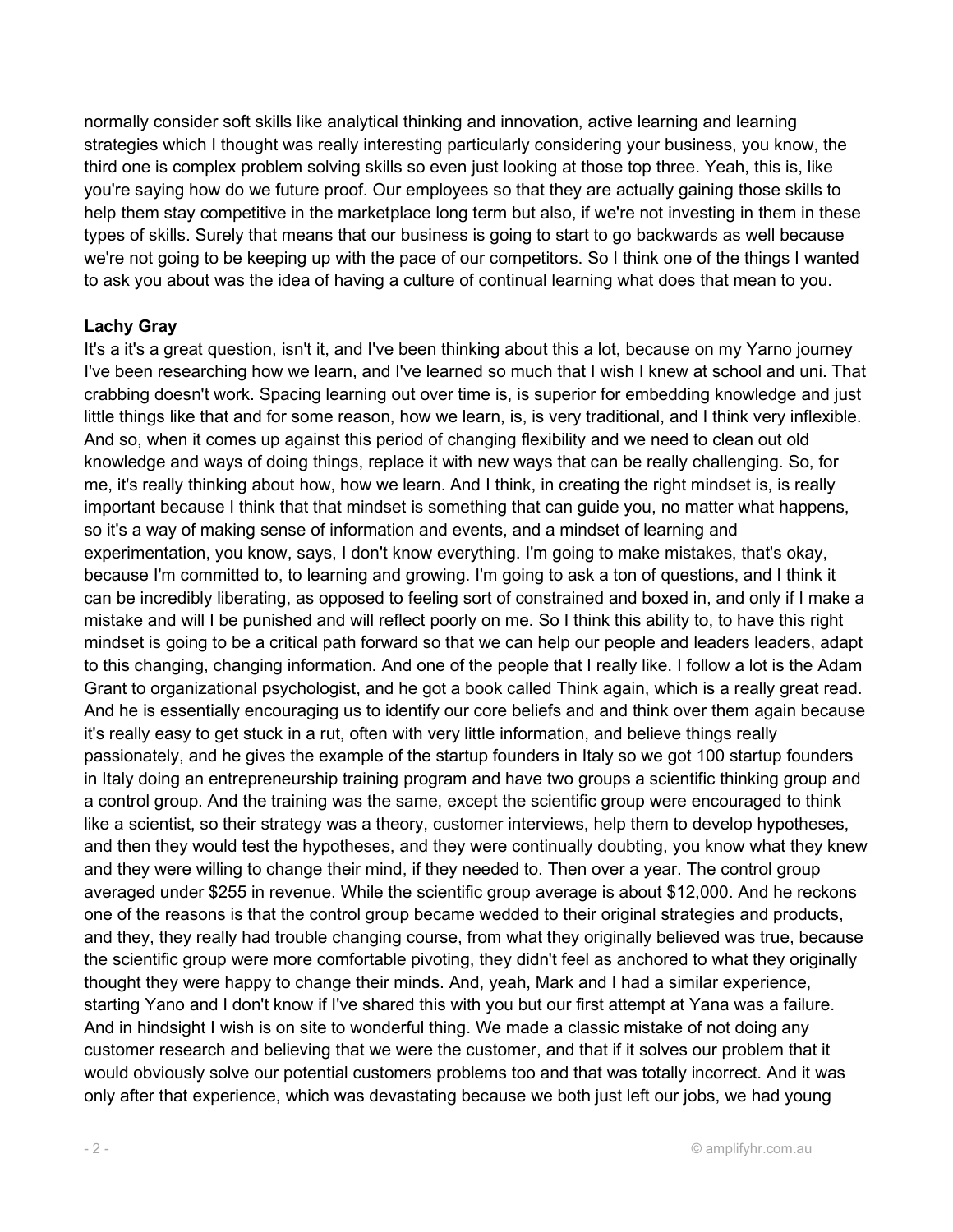normally consider soft skills like analytical thinking and innovation, active learning and learning strategies which I thought was really interesting particularly considering your business, you know, the third one is complex problem solving skills so even just looking at those top three. Yeah, this is, like you're saying how do we future proof. Our employees so that they are actually gaining those skills to help them stay competitive in the marketplace long term but also, if we're not investing in them in these types of skills. Surely that means that our business is going to start to go backwards as well because we're not going to be keeping up with the pace of our competitors. So I think one of the things I wanted to ask you about was the idea of having a culture of continual learning what does that mean to you.

#### Lachy Gray

It's a it's a great question, isn't it, and I've been thinking about this a lot, because on my Yarno journey I've been researching how we learn, and I've learned so much that I wish I knew at school and uni. That crabbing doesn't work. Spacing learning out over time is, is superior for embedding knowledge and just little things like that and for some reason, how we learn, is, is very traditional, and I think very inflexible. And so, when it comes up against this period of changing flexibility and we need to clean out old knowledge and ways of doing things, replace it with new ways that can be really challenging. So, for me, it's really thinking about how, how we learn. And I think, in creating the right mindset is, is really important because I think that that mindset is something that can guide you, no matter what happens, so it's a way of making sense of information and events, and a mindset of learning and experimentation, you know, says, I don't know everything. I'm going to make mistakes, that's okay, because I'm committed to, to learning and growing. I'm going to ask a ton of questions, and I think it can be incredibly liberating, as opposed to feeling sort of constrained and boxed in, and only if I make a mistake and will I be punished and will reflect poorly on me. So I think this ability to, to have this right mindset is going to be a critical path forward so that we can help our people and leaders leaders, adapt to this changing, changing information. And one of the people that I really like. I follow a lot is the Adam Grant to organizational psychologist, and he got a book called Think again, which is a really great read. And he is essentially encouraging us to identify our core beliefs and and think over them again because it's really easy to get stuck in a rut, often with very little information, and believe things really passionately, and he gives the example of the startup founders in Italy so we got 100 startup founders in Italy doing an entrepreneurship training program and have two groups a scientific thinking group and a control group. And the training was the same, except the scientific group were encouraged to think like a scientist, so their strategy was a theory, customer interviews, help them to develop hypotheses, and then they would test the hypotheses, and they were continually doubting, you know what they knew and they were willing to change their mind, if they needed to. Then over a year. The control group averaged under \$255 in revenue. While the scientific group average is about \$12,000. And he reckons one of the reasons is that the control group became wedded to their original strategies and products, and they, they really had trouble changing course, from what they originally believed was true, because the scientific group were more comfortable pivoting, they didn't feel as anchored to what they originally thought they were happy to change their minds. And, yeah, Mark and I had a similar experience, starting Yano and I don't know if I've shared this with you but our first attempt at Yana was a failure. And in hindsight I wish is on site to wonderful thing. We made a classic mistake of not doing any customer research and believing that we were the customer, and that if it solves our problem that it would obviously solve our potential customers problems too and that was totally incorrect. And it was only after that experience, which was devastating because we both just left our jobs, we had young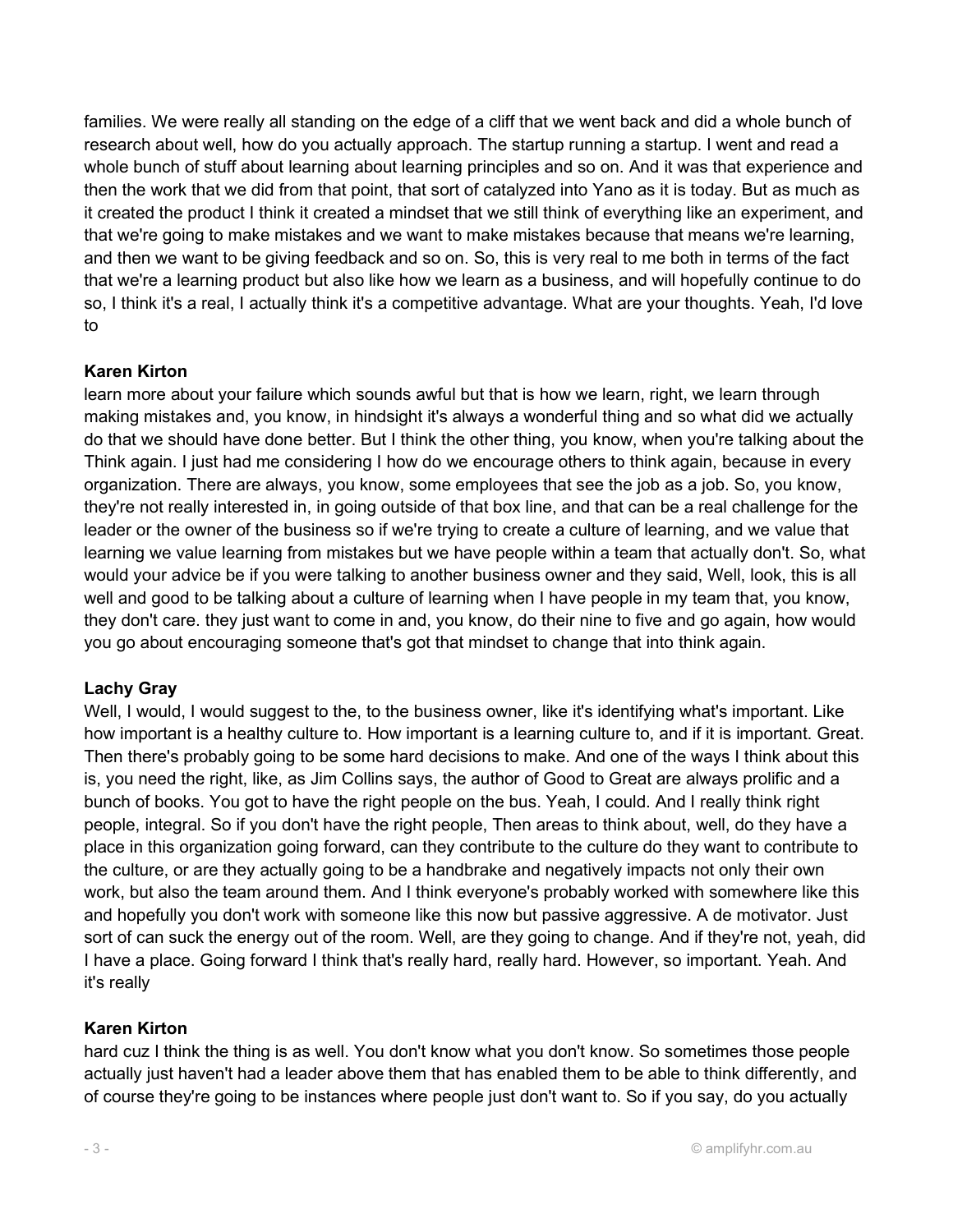families. We were really all standing on the edge of a cliff that we went back and did a whole bunch of research about well, how do you actually approach. The startup running a startup. I went and read a whole bunch of stuff about learning about learning principles and so on. And it was that experience and then the work that we did from that point, that sort of catalyzed into Yano as it is today. But as much as it created the product I think it created a mindset that we still think of everything like an experiment, and that we're going to make mistakes and we want to make mistakes because that means we're learning, and then we want to be giving feedback and so on. So, this is very real to me both in terms of the fact that we're a learning product but also like how we learn as a business, and will hopefully continue to do so, I think it's a real, I actually think it's a competitive advantage. What are your thoughts. Yeah, I'd love to

#### Karen Kirton

learn more about your failure which sounds awful but that is how we learn, right, we learn through making mistakes and, you know, in hindsight it's always a wonderful thing and so what did we actually do that we should have done better. But I think the other thing, you know, when you're talking about the Think again. I just had me considering I how do we encourage others to think again, because in every organization. There are always, you know, some employees that see the job as a job. So, you know, they're not really interested in, in going outside of that box line, and that can be a real challenge for the leader or the owner of the business so if we're trying to create a culture of learning, and we value that learning we value learning from mistakes but we have people within a team that actually don't. So, what would your advice be if you were talking to another business owner and they said, Well, look, this is all well and good to be talking about a culture of learning when I have people in my team that, you know, they don't care. they just want to come in and, you know, do their nine to five and go again, how would you go about encouraging someone that's got that mindset to change that into think again.

## Lachy Gray

Well, I would, I would suggest to the, to the business owner, like it's identifying what's important. Like how important is a healthy culture to. How important is a learning culture to, and if it is important. Great. Then there's probably going to be some hard decisions to make. And one of the ways I think about this is, you need the right, like, as Jim Collins says, the author of Good to Great are always prolific and a bunch of books. You got to have the right people on the bus. Yeah, I could. And I really think right people, integral. So if you don't have the right people, Then areas to think about, well, do they have a place in this organization going forward, can they contribute to the culture do they want to contribute to the culture, or are they actually going to be a handbrake and negatively impacts not only their own work, but also the team around them. And I think everyone's probably worked with somewhere like this and hopefully you don't work with someone like this now but passive aggressive. A de motivator. Just sort of can suck the energy out of the room. Well, are they going to change. And if they're not, yeah, did I have a place. Going forward I think that's really hard, really hard. However, so important. Yeah. And it's really

#### Karen Kirton

hard cuz I think the thing is as well. You don't know what you don't know. So sometimes those people actually just haven't had a leader above them that has enabled them to be able to think differently, and of course they're going to be instances where people just don't want to. So if you say, do you actually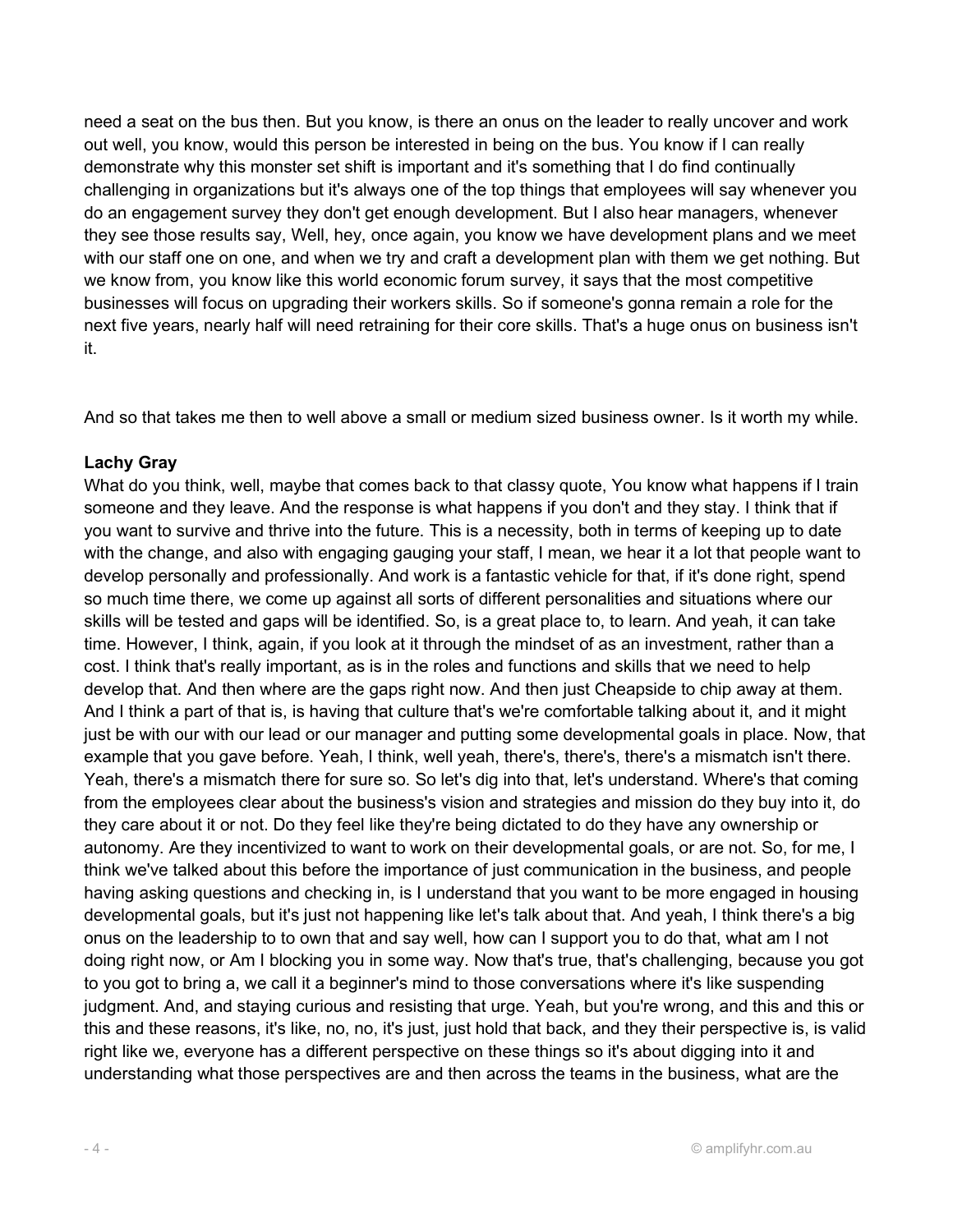need a seat on the bus then. But you know, is there an onus on the leader to really uncover and work out well, you know, would this person be interested in being on the bus. You know if I can really demonstrate why this monster set shift is important and it's something that I do find continually challenging in organizations but it's always one of the top things that employees will say whenever you do an engagement survey they don't get enough development. But I also hear managers, whenever they see those results say, Well, hey, once again, you know we have development plans and we meet with our staff one on one, and when we try and craft a development plan with them we get nothing. But we know from, you know like this world economic forum survey, it says that the most competitive businesses will focus on upgrading their workers skills. So if someone's gonna remain a role for the next five years, nearly half will need retraining for their core skills. That's a huge onus on business isn't it.

And so that takes me then to well above a small or medium sized business owner. Is it worth my while.

#### Lachy Gray

What do you think, well, maybe that comes back to that classy quote, You know what happens if I train someone and they leave. And the response is what happens if you don't and they stay. I think that if you want to survive and thrive into the future. This is a necessity, both in terms of keeping up to date with the change, and also with engaging gauging your staff, I mean, we hear it a lot that people want to develop personally and professionally. And work is a fantastic vehicle for that, if it's done right, spend so much time there, we come up against all sorts of different personalities and situations where our skills will be tested and gaps will be identified. So, is a great place to, to learn. And yeah, it can take time. However, I think, again, if you look at it through the mindset of as an investment, rather than a cost. I think that's really important, as is in the roles and functions and skills that we need to help develop that. And then where are the gaps right now. And then just Cheapside to chip away at them. And I think a part of that is, is having that culture that's we're comfortable talking about it, and it might just be with our with our lead or our manager and putting some developmental goals in place. Now, that example that you gave before. Yeah, I think, well yeah, there's, there's, there's a mismatch isn't there. Yeah, there's a mismatch there for sure so. So let's dig into that, let's understand. Where's that coming from the employees clear about the business's vision and strategies and mission do they buy into it, do they care about it or not. Do they feel like they're being dictated to do they have any ownership or autonomy. Are they incentivized to want to work on their developmental goals, or are not. So, for me, I think we've talked about this before the importance of just communication in the business, and people having asking questions and checking in, is I understand that you want to be more engaged in housing developmental goals, but it's just not happening like let's talk about that. And yeah, I think there's a big onus on the leadership to to own that and say well, how can I support you to do that, what am I not doing right now, or Am I blocking you in some way. Now that's true, that's challenging, because you got to you got to bring a, we call it a beginner's mind to those conversations where it's like suspending judgment. And, and staying curious and resisting that urge. Yeah, but you're wrong, and this and this or this and these reasons, it's like, no, no, it's just, just hold that back, and they their perspective is, is valid right like we, everyone has a different perspective on these things so it's about digging into it and understanding what those perspectives are and then across the teams in the business, what are the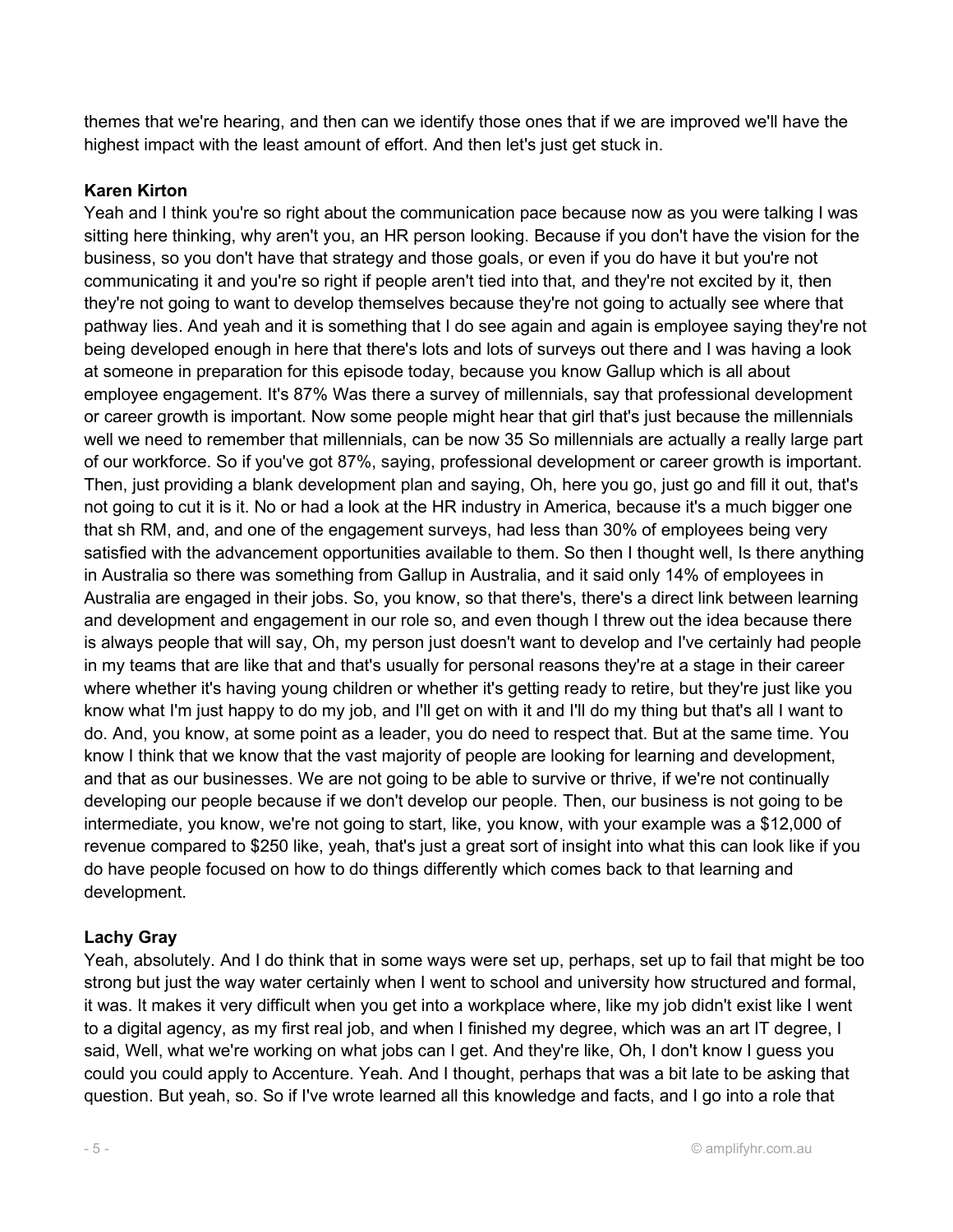themes that we're hearing, and then can we identify those ones that if we are improved we'll have the highest impact with the least amount of effort. And then let's just get stuck in.

## Karen Kirton

Yeah and I think you're so right about the communication pace because now as you were talking I was sitting here thinking, why aren't you, an HR person looking. Because if you don't have the vision for the business, so you don't have that strategy and those goals, or even if you do have it but you're not communicating it and you're so right if people aren't tied into that, and they're not excited by it, then they're not going to want to develop themselves because they're not going to actually see where that pathway lies. And yeah and it is something that I do see again and again is employee saying they're not being developed enough in here that there's lots and lots of surveys out there and I was having a look at someone in preparation for this episode today, because you know Gallup which is all about employee engagement. It's 87% Was there a survey of millennials, say that professional development or career growth is important. Now some people might hear that girl that's just because the millennials well we need to remember that millennials, can be now 35 So millennials are actually a really large part of our workforce. So if you've got 87%, saying, professional development or career growth is important. Then, just providing a blank development plan and saying, Oh, here you go, just go and fill it out, that's not going to cut it is it. No or had a look at the HR industry in America, because it's a much bigger one that sh RM, and, and one of the engagement surveys, had less than 30% of employees being very satisfied with the advancement opportunities available to them. So then I thought well, Is there anything in Australia so there was something from Gallup in Australia, and it said only 14% of employees in Australia are engaged in their jobs. So, you know, so that there's, there's a direct link between learning and development and engagement in our role so, and even though I threw out the idea because there is always people that will say, Oh, my person just doesn't want to develop and I've certainly had people in my teams that are like that and that's usually for personal reasons they're at a stage in their career where whether it's having young children or whether it's getting ready to retire, but they're just like you know what I'm just happy to do my job, and I'll get on with it and I'll do my thing but that's all I want to do. And, you know, at some point as a leader, you do need to respect that. But at the same time. You know I think that we know that the vast majority of people are looking for learning and development, and that as our businesses. We are not going to be able to survive or thrive, if we're not continually developing our people because if we don't develop our people. Then, our business is not going to be intermediate, you know, we're not going to start, like, you know, with your example was a \$12,000 of revenue compared to \$250 like, yeah, that's just a great sort of insight into what this can look like if you do have people focused on how to do things differently which comes back to that learning and development.

## Lachy Gray

Yeah, absolutely. And I do think that in some ways were set up, perhaps, set up to fail that might be too strong but just the way water certainly when I went to school and university how structured and formal, it was. It makes it very difficult when you get into a workplace where, like my job didn't exist like I went to a digital agency, as my first real job, and when I finished my degree, which was an art IT degree, I said, Well, what we're working on what jobs can I get. And they're like, Oh, I don't know I guess you could you could apply to Accenture. Yeah. And I thought, perhaps that was a bit late to be asking that question. But yeah, so. So if I've wrote learned all this knowledge and facts, and I go into a role that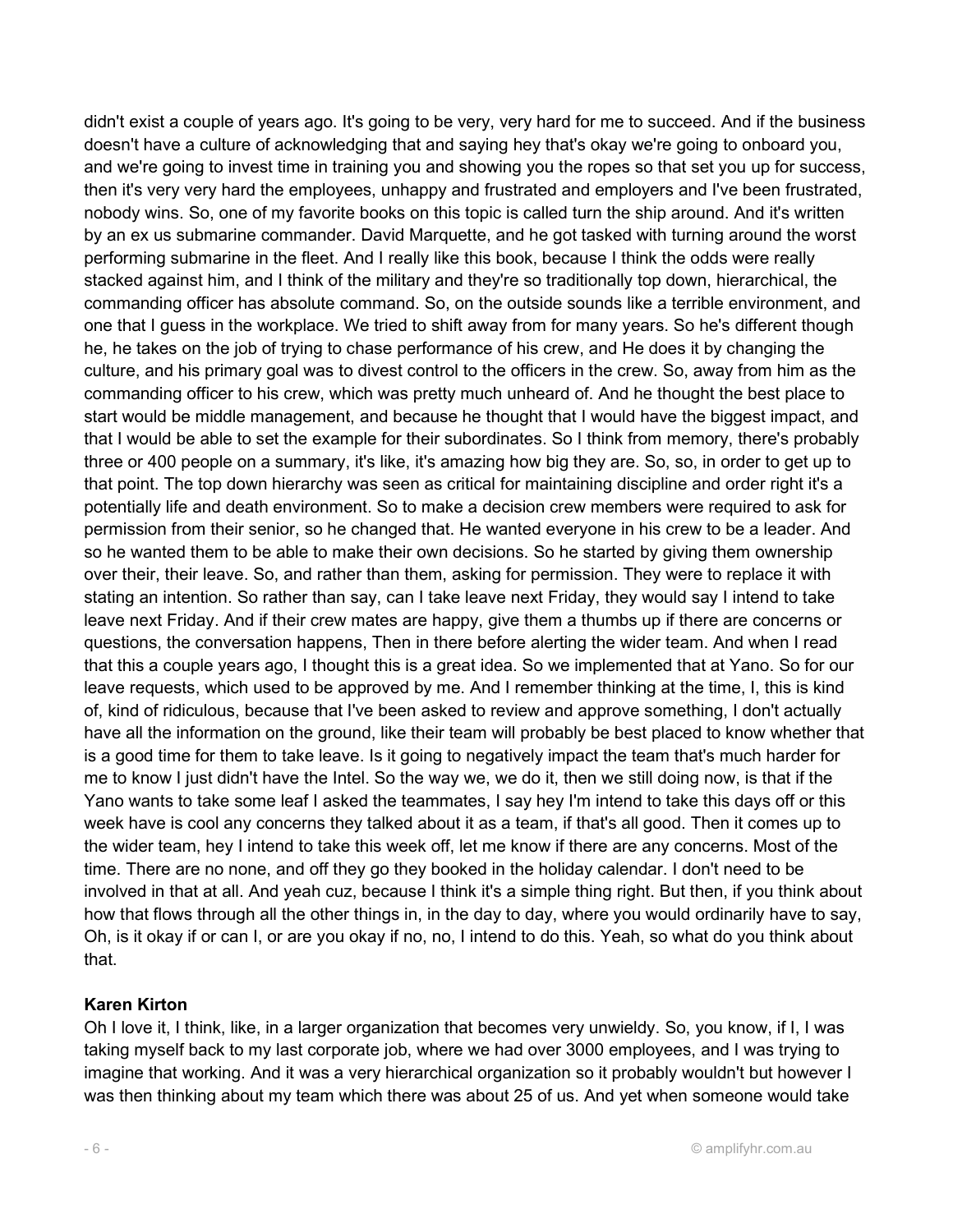didn't exist a couple of years ago. It's going to be very, very hard for me to succeed. And if the business doesn't have a culture of acknowledging that and saying hey that's okay we're going to onboard you, and we're going to invest time in training you and showing you the ropes so that set you up for success, then it's very very hard the employees, unhappy and frustrated and employers and I've been frustrated, nobody wins. So, one of my favorite books on this topic is called turn the ship around. And it's written by an ex us submarine commander. David Marquette, and he got tasked with turning around the worst performing submarine in the fleet. And I really like this book, because I think the odds were really stacked against him, and I think of the military and they're so traditionally top down, hierarchical, the commanding officer has absolute command. So, on the outside sounds like a terrible environment, and one that I guess in the workplace. We tried to shift away from for many years. So he's different though he, he takes on the job of trying to chase performance of his crew, and He does it by changing the culture, and his primary goal was to divest control to the officers in the crew. So, away from him as the commanding officer to his crew, which was pretty much unheard of. And he thought the best place to start would be middle management, and because he thought that I would have the biggest impact, and that I would be able to set the example for their subordinates. So I think from memory, there's probably three or 400 people on a summary, it's like, it's amazing how big they are. So, so, in order to get up to that point. The top down hierarchy was seen as critical for maintaining discipline and order right it's a potentially life and death environment. So to make a decision crew members were required to ask for permission from their senior, so he changed that. He wanted everyone in his crew to be a leader. And so he wanted them to be able to make their own decisions. So he started by giving them ownership over their, their leave. So, and rather than them, asking for permission. They were to replace it with stating an intention. So rather than say, can I take leave next Friday, they would say I intend to take leave next Friday. And if their crew mates are happy, give them a thumbs up if there are concerns or questions, the conversation happens, Then in there before alerting the wider team. And when I read that this a couple years ago, I thought this is a great idea. So we implemented that at Yano. So for our leave requests, which used to be approved by me. And I remember thinking at the time, I, this is kind of, kind of ridiculous, because that I've been asked to review and approve something, I don't actually have all the information on the ground, like their team will probably be best placed to know whether that is a good time for them to take leave. Is it going to negatively impact the team that's much harder for me to know I just didn't have the Intel. So the way we, we do it, then we still doing now, is that if the Yano wants to take some leaf I asked the teammates, I say hey I'm intend to take this days off or this week have is cool any concerns they talked about it as a team, if that's all good. Then it comes up to the wider team, hey I intend to take this week off, let me know if there are any concerns. Most of the time. There are no none, and off they go they booked in the holiday calendar. I don't need to be involved in that at all. And yeah cuz, because I think it's a simple thing right. But then, if you think about how that flows through all the other things in, in the day to day, where you would ordinarily have to say, Oh, is it okay if or can I, or are you okay if no, no, I intend to do this. Yeah, so what do you think about that.

#### Karen Kirton

Oh I love it, I think, like, in a larger organization that becomes very unwieldy. So, you know, if I, I was taking myself back to my last corporate job, where we had over 3000 employees, and I was trying to imagine that working. And it was a very hierarchical organization so it probably wouldn't but however I was then thinking about my team which there was about 25 of us. And yet when someone would take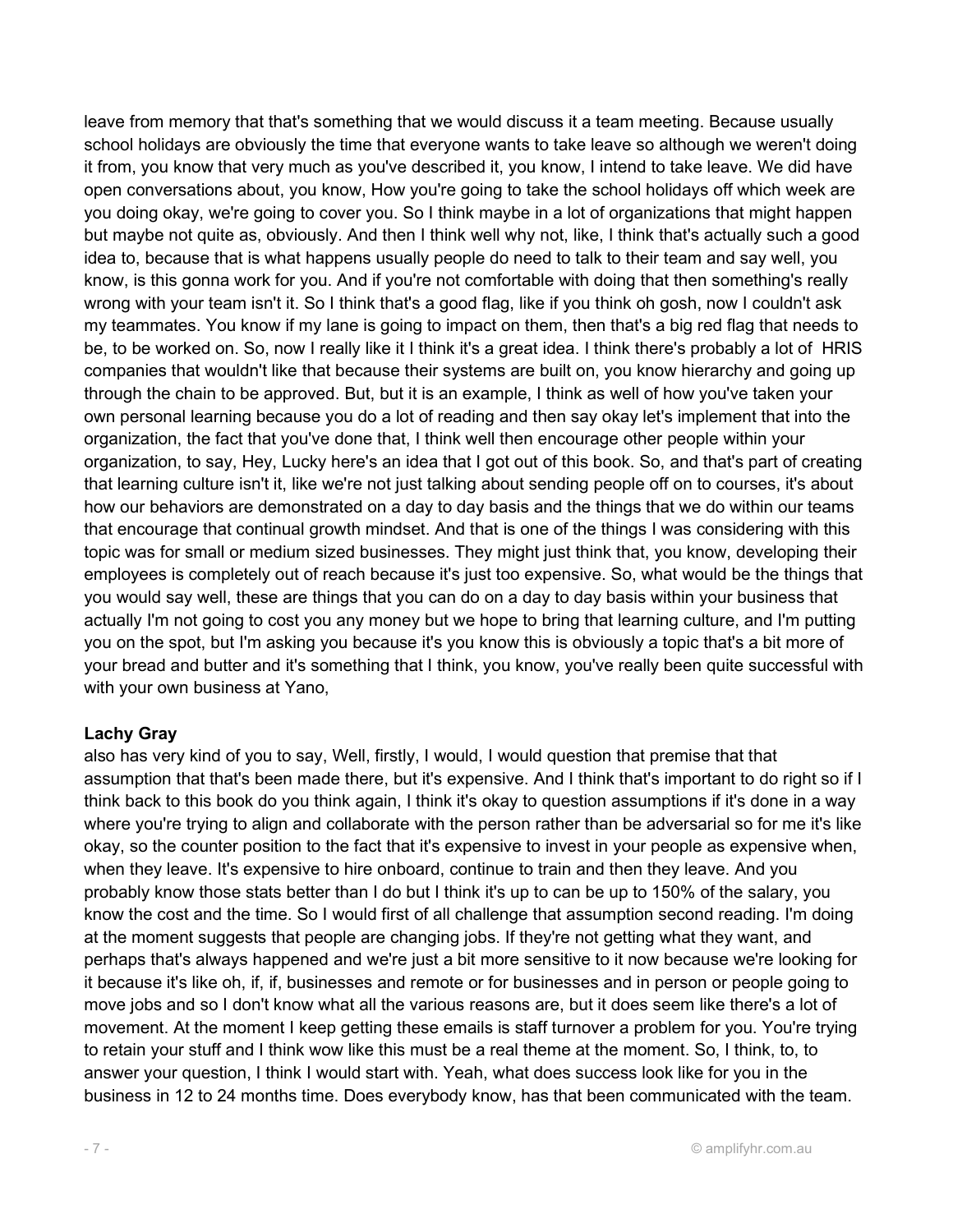leave from memory that that's something that we would discuss it a team meeting. Because usually school holidays are obviously the time that everyone wants to take leave so although we weren't doing it from, you know that very much as you've described it, you know, I intend to take leave. We did have open conversations about, you know, How you're going to take the school holidays off which week are you doing okay, we're going to cover you. So I think maybe in a lot of organizations that might happen but maybe not quite as, obviously. And then I think well why not, like, I think that's actually such a good idea to, because that is what happens usually people do need to talk to their team and say well, you know, is this gonna work for you. And if you're not comfortable with doing that then something's really wrong with your team isn't it. So I think that's a good flag, like if you think oh gosh, now I couldn't ask my teammates. You know if my lane is going to impact on them, then that's a big red flag that needs to be, to be worked on. So, now I really like it I think it's a great idea. I think there's probably a lot of HRIS companies that wouldn't like that because their systems are built on, you know hierarchy and going up through the chain to be approved. But, but it is an example, I think as well of how you've taken your own personal learning because you do a lot of reading and then say okay let's implement that into the organization, the fact that you've done that, I think well then encourage other people within your organization, to say, Hey, Lucky here's an idea that I got out of this book. So, and that's part of creating that learning culture isn't it, like we're not just talking about sending people off on to courses, it's about how our behaviors are demonstrated on a day to day basis and the things that we do within our teams that encourage that continual growth mindset. And that is one of the things I was considering with this topic was for small or medium sized businesses. They might just think that, you know, developing their employees is completely out of reach because it's just too expensive. So, what would be the things that you would say well, these are things that you can do on a day to day basis within your business that actually I'm not going to cost you any money but we hope to bring that learning culture, and I'm putting you on the spot, but I'm asking you because it's you know this is obviously a topic that's a bit more of your bread and butter and it's something that I think, you know, you've really been quite successful with with your own business at Yano,

#### Lachy Gray

also has very kind of you to say, Well, firstly, I would, I would question that premise that that assumption that that's been made there, but it's expensive. And I think that's important to do right so if I think back to this book do you think again, I think it's okay to question assumptions if it's done in a way where you're trying to align and collaborate with the person rather than be adversarial so for me it's like okay, so the counter position to the fact that it's expensive to invest in your people as expensive when, when they leave. It's expensive to hire onboard, continue to train and then they leave. And you probably know those stats better than I do but I think it's up to can be up to 150% of the salary, you know the cost and the time. So I would first of all challenge that assumption second reading. I'm doing at the moment suggests that people are changing jobs. If they're not getting what they want, and perhaps that's always happened and we're just a bit more sensitive to it now because we're looking for it because it's like oh, if, if, businesses and remote or for businesses and in person or people going to move jobs and so I don't know what all the various reasons are, but it does seem like there's a lot of movement. At the moment I keep getting these emails is staff turnover a problem for you. You're trying to retain your stuff and I think wow like this must be a real theme at the moment. So, I think, to, to answer your question, I think I would start with. Yeah, what does success look like for you in the business in 12 to 24 months time. Does everybody know, has that been communicated with the team.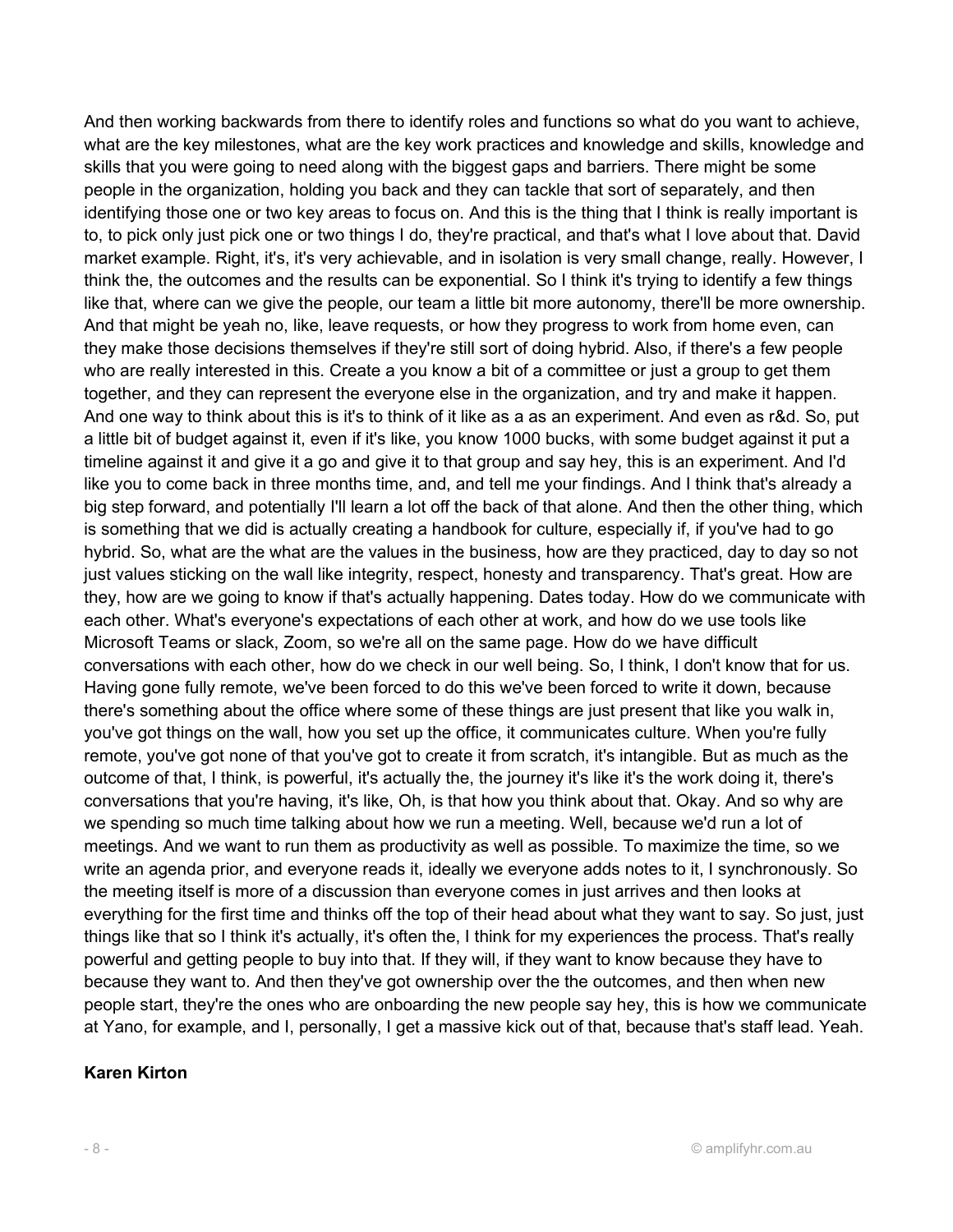And then working backwards from there to identify roles and functions so what do you want to achieve, what are the key milestones, what are the key work practices and knowledge and skills, knowledge and skills that you were going to need along with the biggest gaps and barriers. There might be some people in the organization, holding you back and they can tackle that sort of separately, and then identifying those one or two key areas to focus on. And this is the thing that I think is really important is to, to pick only just pick one or two things I do, they're practical, and that's what I love about that. David market example. Right, it's, it's very achievable, and in isolation is very small change, really. However, I think the, the outcomes and the results can be exponential. So I think it's trying to identify a few things like that, where can we give the people, our team a little bit more autonomy, there'll be more ownership. And that might be yeah no, like, leave requests, or how they progress to work from home even, can they make those decisions themselves if they're still sort of doing hybrid. Also, if there's a few people who are really interested in this. Create a you know a bit of a committee or just a group to get them together, and they can represent the everyone else in the organization, and try and make it happen. And one way to think about this is it's to think of it like as a as an experiment. And even as r&d. So, put a little bit of budget against it, even if it's like, you know 1000 bucks, with some budget against it put a timeline against it and give it a go and give it to that group and say hey, this is an experiment. And I'd like you to come back in three months time, and, and tell me your findings. And I think that's already a big step forward, and potentially I'll learn a lot off the back of that alone. And then the other thing, which is something that we did is actually creating a handbook for culture, especially if, if you've had to go hybrid. So, what are the what are the values in the business, how are they practiced, day to day so not just values sticking on the wall like integrity, respect, honesty and transparency. That's great. How are they, how are we going to know if that's actually happening. Dates today. How do we communicate with each other. What's everyone's expectations of each other at work, and how do we use tools like Microsoft Teams or slack, Zoom, so we're all on the same page. How do we have difficult conversations with each other, how do we check in our well being. So, I think, I don't know that for us. Having gone fully remote, we've been forced to do this we've been forced to write it down, because there's something about the office where some of these things are just present that like you walk in, you've got things on the wall, how you set up the office, it communicates culture. When you're fully remote, you've got none of that you've got to create it from scratch, it's intangible. But as much as the outcome of that, I think, is powerful, it's actually the, the journey it's like it's the work doing it, there's conversations that you're having, it's like, Oh, is that how you think about that. Okay. And so why are we spending so much time talking about how we run a meeting. Well, because we'd run a lot of meetings. And we want to run them as productivity as well as possible. To maximize the time, so we write an agenda prior, and everyone reads it, ideally we everyone adds notes to it, I synchronously. So the meeting itself is more of a discussion than everyone comes in just arrives and then looks at everything for the first time and thinks off the top of their head about what they want to say. So just, just things like that so I think it's actually, it's often the, I think for my experiences the process. That's really powerful and getting people to buy into that. If they will, if they want to know because they have to because they want to. And then they've got ownership over the the outcomes, and then when new people start, they're the ones who are onboarding the new people say hey, this is how we communicate at Yano, for example, and I, personally, I get a massive kick out of that, because that's staff lead. Yeah.

#### Karen Kirton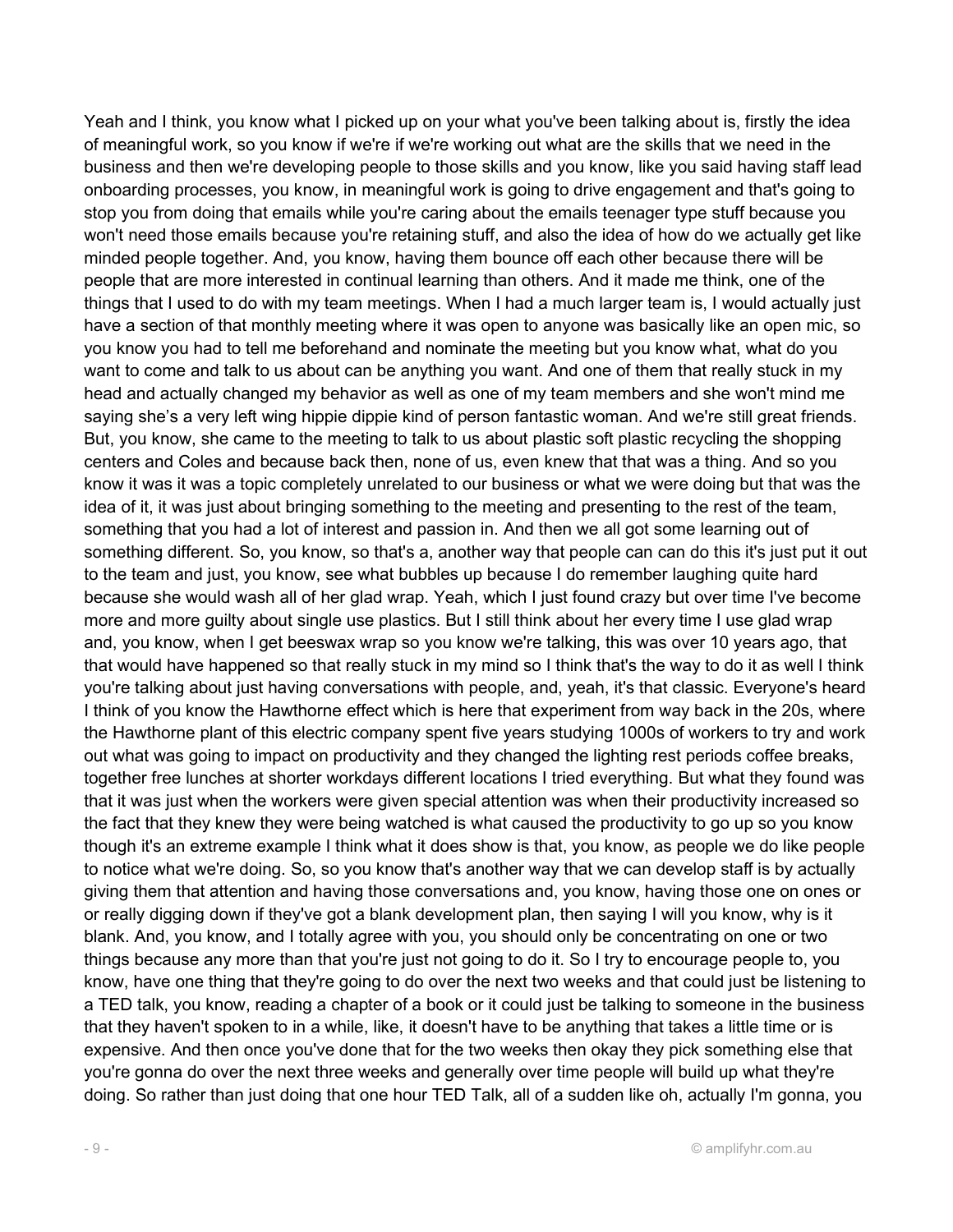Yeah and I think, you know what I picked up on your what you've been talking about is, firstly the idea of meaningful work, so you know if we're if we're working out what are the skills that we need in the business and then we're developing people to those skills and you know, like you said having staff lead onboarding processes, you know, in meaningful work is going to drive engagement and that's going to stop you from doing that emails while you're caring about the emails teenager type stuff because you won't need those emails because you're retaining stuff, and also the idea of how do we actually get like minded people together. And, you know, having them bounce off each other because there will be people that are more interested in continual learning than others. And it made me think, one of the things that I used to do with my team meetings. When I had a much larger team is, I would actually just have a section of that monthly meeting where it was open to anyone was basically like an open mic, so you know you had to tell me beforehand and nominate the meeting but you know what, what do you want to come and talk to us about can be anything you want. And one of them that really stuck in my head and actually changed my behavior as well as one of my team members and she won't mind me saying she's a very left wing hippie dippie kind of person fantastic woman. And we're still great friends. But, you know, she came to the meeting to talk to us about plastic soft plastic recycling the shopping centers and Coles and because back then, none of us, even knew that that was a thing. And so you know it was it was a topic completely unrelated to our business or what we were doing but that was the idea of it, it was just about bringing something to the meeting and presenting to the rest of the team, something that you had a lot of interest and passion in. And then we all got some learning out of something different. So, you know, so that's a, another way that people can can do this it's just put it out to the team and just, you know, see what bubbles up because I do remember laughing quite hard because she would wash all of her glad wrap. Yeah, which I just found crazy but over time I've become more and more guilty about single use plastics. But I still think about her every time I use glad wrap and, you know, when I get beeswax wrap so you know we're talking, this was over 10 years ago, that that would have happened so that really stuck in my mind so I think that's the way to do it as well I think you're talking about just having conversations with people, and, yeah, it's that classic. Everyone's heard I think of you know the Hawthorne effect which is here that experiment from way back in the 20s, where the Hawthorne plant of this electric company spent five years studying 1000s of workers to try and work out what was going to impact on productivity and they changed the lighting rest periods coffee breaks, together free lunches at shorter workdays different locations I tried everything. But what they found was that it was just when the workers were given special attention was when their productivity increased so the fact that they knew they were being watched is what caused the productivity to go up so you know though it's an extreme example I think what it does show is that, you know, as people we do like people to notice what we're doing. So, so you know that's another way that we can develop staff is by actually giving them that attention and having those conversations and, you know, having those one on ones or or really digging down if they've got a blank development plan, then saying I will you know, why is it blank. And, you know, and I totally agree with you, you should only be concentrating on one or two things because any more than that you're just not going to do it. So I try to encourage people to, you know, have one thing that they're going to do over the next two weeks and that could just be listening to a TED talk, you know, reading a chapter of a book or it could just be talking to someone in the business that they haven't spoken to in a while, like, it doesn't have to be anything that takes a little time or is expensive. And then once you've done that for the two weeks then okay they pick something else that you're gonna do over the next three weeks and generally over time people will build up what they're doing. So rather than just doing that one hour TED Talk, all of a sudden like oh, actually I'm gonna, you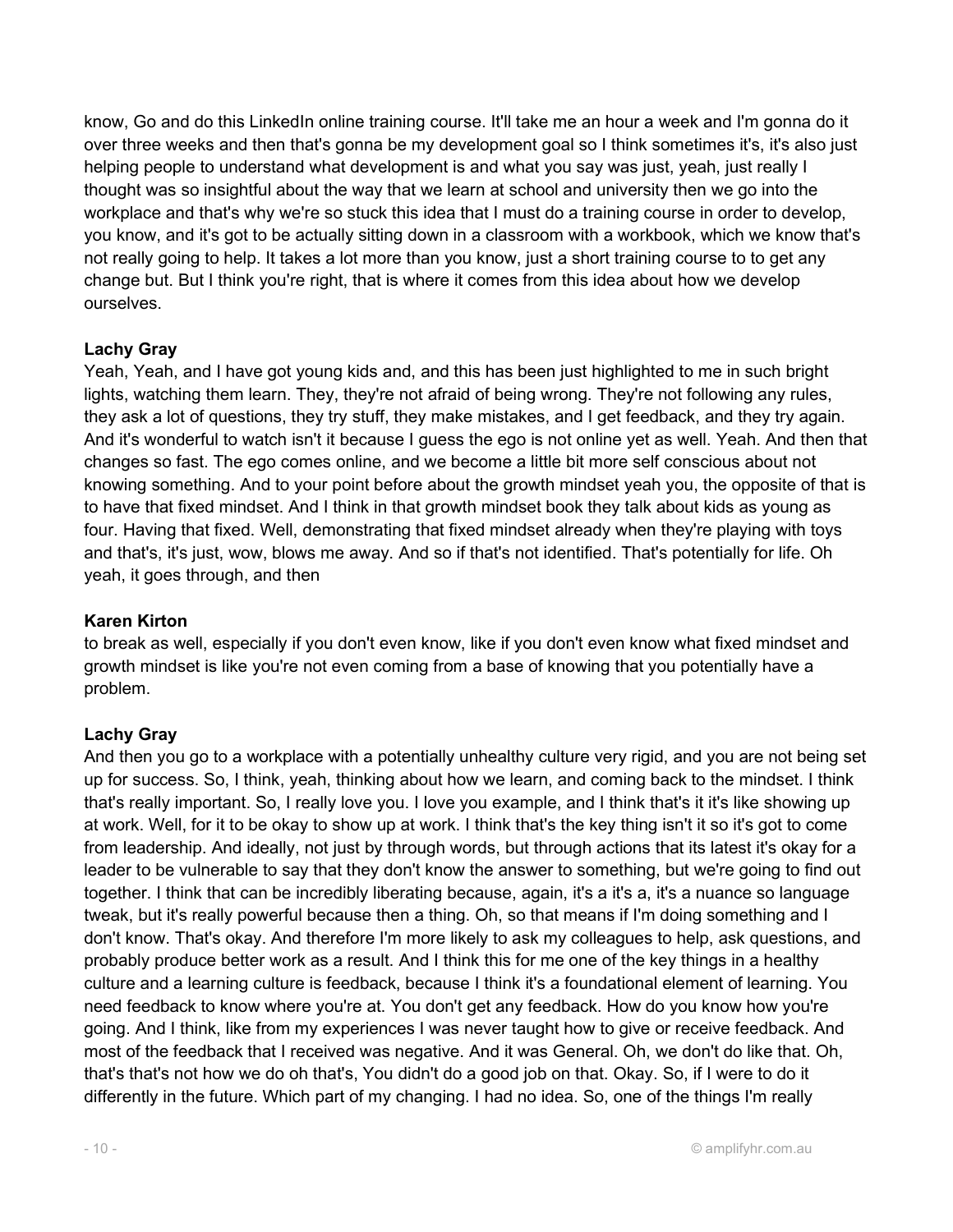know, Go and do this LinkedIn online training course. It'll take me an hour a week and I'm gonna do it over three weeks and then that's gonna be my development goal so I think sometimes it's, it's also just helping people to understand what development is and what you say was just, yeah, just really I thought was so insightful about the way that we learn at school and university then we go into the workplace and that's why we're so stuck this idea that I must do a training course in order to develop, you know, and it's got to be actually sitting down in a classroom with a workbook, which we know that's not really going to help. It takes a lot more than you know, just a short training course to to get any change but. But I think you're right, that is where it comes from this idea about how we develop ourselves.

#### Lachy Gray

Yeah, Yeah, and I have got young kids and, and this has been just highlighted to me in such bright lights, watching them learn. They, they're not afraid of being wrong. They're not following any rules, they ask a lot of questions, they try stuff, they make mistakes, and I get feedback, and they try again. And it's wonderful to watch isn't it because I guess the ego is not online yet as well. Yeah. And then that changes so fast. The ego comes online, and we become a little bit more self conscious about not knowing something. And to your point before about the growth mindset yeah you, the opposite of that is to have that fixed mindset. And I think in that growth mindset book they talk about kids as young as four. Having that fixed. Well, demonstrating that fixed mindset already when they're playing with toys and that's, it's just, wow, blows me away. And so if that's not identified. That's potentially for life. Oh yeah, it goes through, and then

#### Karen Kirton

to break as well, especially if you don't even know, like if you don't even know what fixed mindset and growth mindset is like you're not even coming from a base of knowing that you potentially have a problem.

#### Lachy Gray

And then you go to a workplace with a potentially unhealthy culture very rigid, and you are not being set up for success. So, I think, yeah, thinking about how we learn, and coming back to the mindset. I think that's really important. So, I really love you. I love you example, and I think that's it it's like showing up at work. Well, for it to be okay to show up at work. I think that's the key thing isn't it so it's got to come from leadership. And ideally, not just by through words, but through actions that its latest it's okay for a leader to be vulnerable to say that they don't know the answer to something, but we're going to find out together. I think that can be incredibly liberating because, again, it's a it's a, it's a nuance so language tweak, but it's really powerful because then a thing. Oh, so that means if I'm doing something and I don't know. That's okay. And therefore I'm more likely to ask my colleagues to help, ask questions, and probably produce better work as a result. And I think this for me one of the key things in a healthy culture and a learning culture is feedback, because I think it's a foundational element of learning. You need feedback to know where you're at. You don't get any feedback. How do you know how you're going. And I think, like from my experiences I was never taught how to give or receive feedback. And most of the feedback that I received was negative. And it was General. Oh, we don't do like that. Oh, that's that's not how we do oh that's, You didn't do a good job on that. Okay. So, if I were to do it differently in the future. Which part of my changing. I had no idea. So, one of the things I'm really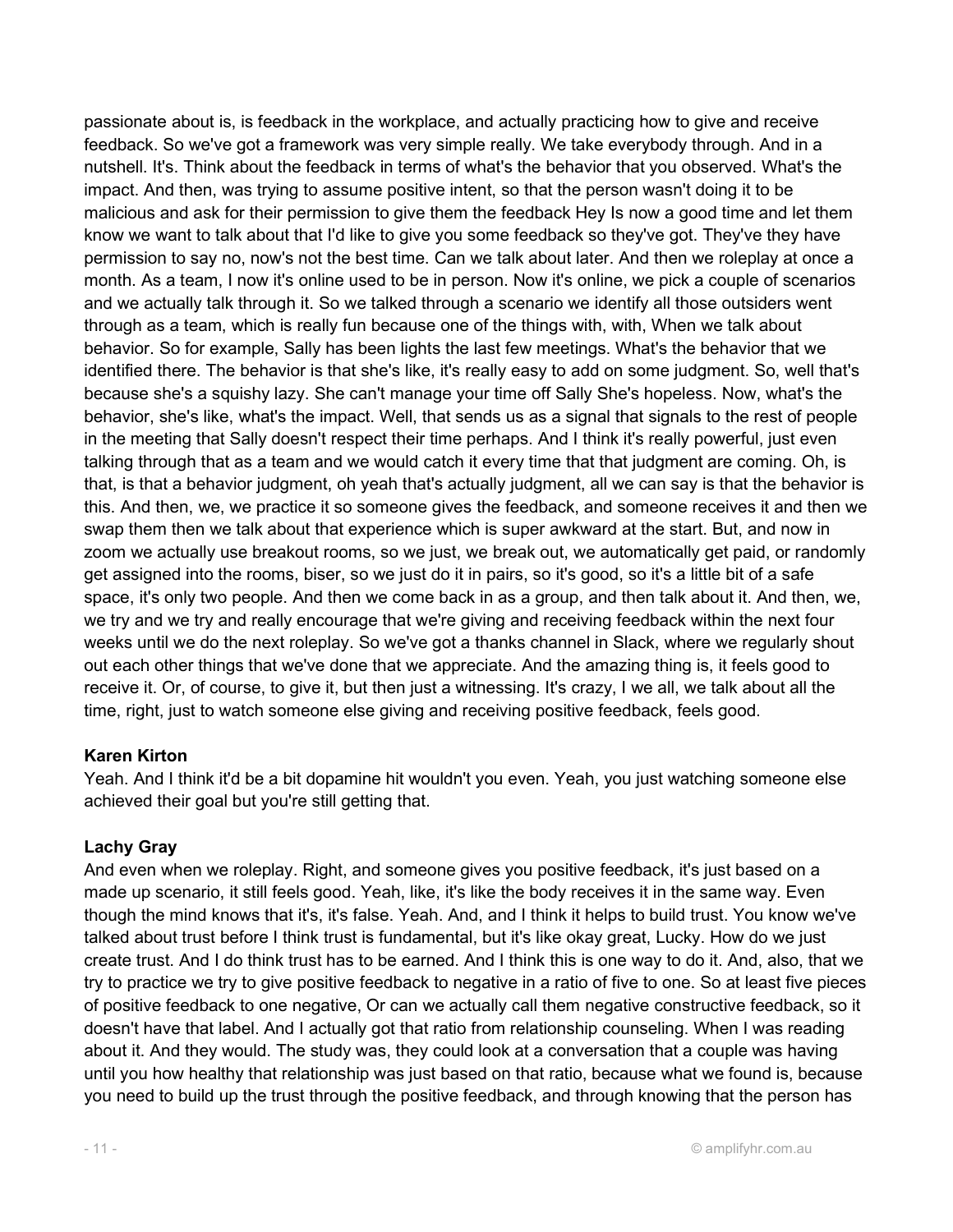passionate about is, is feedback in the workplace, and actually practicing how to give and receive feedback. So we've got a framework was very simple really. We take everybody through. And in a nutshell. It's. Think about the feedback in terms of what's the behavior that you observed. What's the impact. And then, was trying to assume positive intent, so that the person wasn't doing it to be malicious and ask for their permission to give them the feedback Hey Is now a good time and let them know we want to talk about that I'd like to give you some feedback so they've got. They've they have permission to say no, now's not the best time. Can we talk about later. And then we roleplay at once a month. As a team, I now it's online used to be in person. Now it's online, we pick a couple of scenarios and we actually talk through it. So we talked through a scenario we identify all those outsiders went through as a team, which is really fun because one of the things with, with, When we talk about behavior. So for example, Sally has been lights the last few meetings. What's the behavior that we identified there. The behavior is that she's like, it's really easy to add on some judgment. So, well that's because she's a squishy lazy. She can't manage your time off Sally She's hopeless. Now, what's the behavior, she's like, what's the impact. Well, that sends us as a signal that signals to the rest of people in the meeting that Sally doesn't respect their time perhaps. And I think it's really powerful, just even talking through that as a team and we would catch it every time that that judgment are coming. Oh, is that, is that a behavior judgment, oh yeah that's actually judgment, all we can say is that the behavior is this. And then, we, we practice it so someone gives the feedback, and someone receives it and then we swap them then we talk about that experience which is super awkward at the start. But, and now in zoom we actually use breakout rooms, so we just, we break out, we automatically get paid, or randomly get assigned into the rooms, biser, so we just do it in pairs, so it's good, so it's a little bit of a safe space, it's only two people. And then we come back in as a group, and then talk about it. And then, we, we try and we try and really encourage that we're giving and receiving feedback within the next four weeks until we do the next roleplay. So we've got a thanks channel in Slack, where we regularly shout out each other things that we've done that we appreciate. And the amazing thing is, it feels good to receive it. Or, of course, to give it, but then just a witnessing. It's crazy, I we all, we talk about all the time, right, just to watch someone else giving and receiving positive feedback, feels good.

#### Karen Kirton

Yeah. And I think it'd be a bit dopamine hit wouldn't you even. Yeah, you just watching someone else achieved their goal but you're still getting that.

## Lachy Gray

And even when we roleplay. Right, and someone gives you positive feedback, it's just based on a made up scenario, it still feels good. Yeah, like, it's like the body receives it in the same way. Even though the mind knows that it's, it's false. Yeah. And, and I think it helps to build trust. You know we've talked about trust before I think trust is fundamental, but it's like okay great, Lucky. How do we just create trust. And I do think trust has to be earned. And I think this is one way to do it. And, also, that we try to practice we try to give positive feedback to negative in a ratio of five to one. So at least five pieces of positive feedback to one negative, Or can we actually call them negative constructive feedback, so it doesn't have that label. And I actually got that ratio from relationship counseling. When I was reading about it. And they would. The study was, they could look at a conversation that a couple was having until you how healthy that relationship was just based on that ratio, because what we found is, because you need to build up the trust through the positive feedback, and through knowing that the person has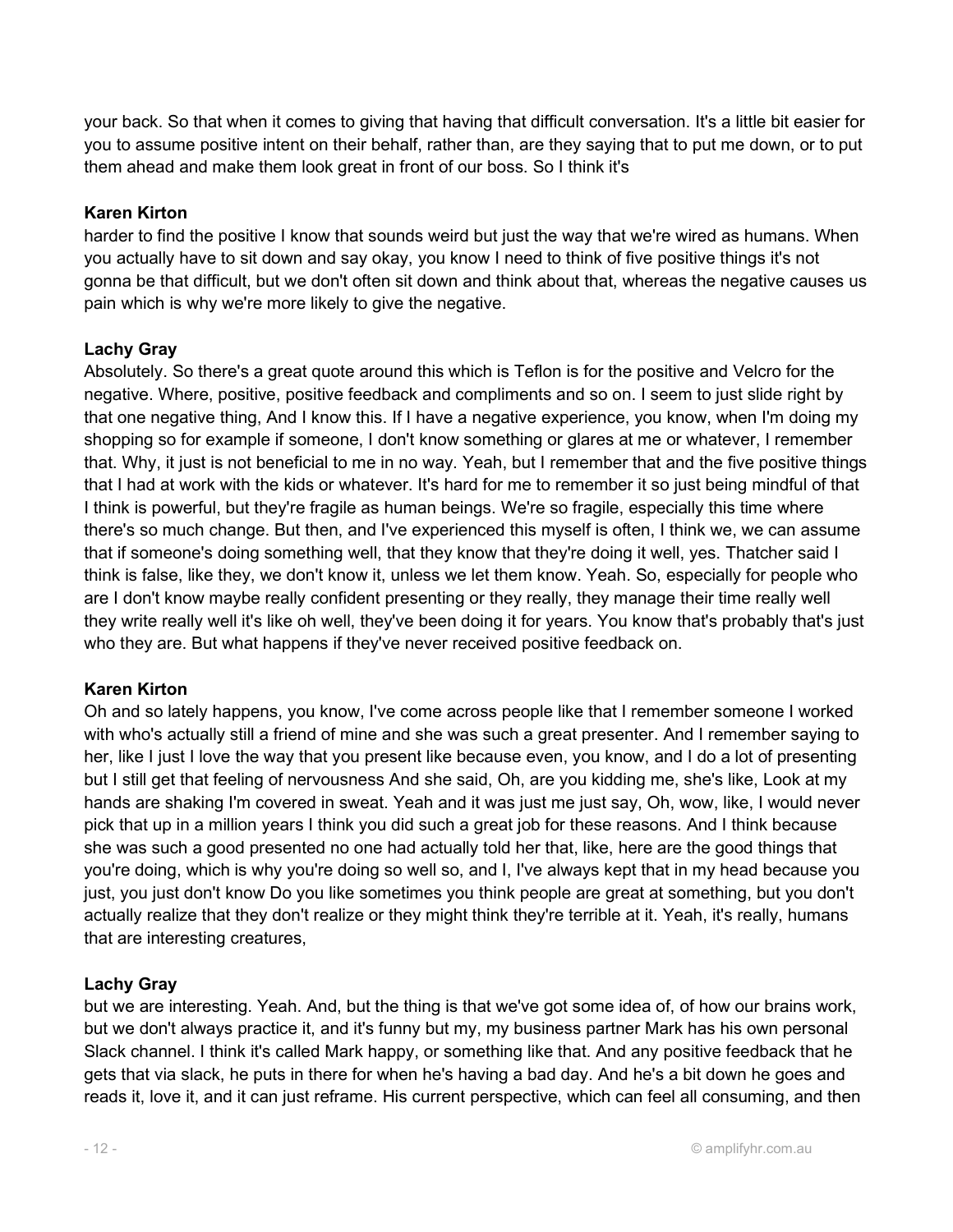your back. So that when it comes to giving that having that difficult conversation. It's a little bit easier for you to assume positive intent on their behalf, rather than, are they saying that to put me down, or to put them ahead and make them look great in front of our boss. So I think it's

#### Karen Kirton

harder to find the positive I know that sounds weird but just the way that we're wired as humans. When you actually have to sit down and say okay, you know I need to think of five positive things it's not gonna be that difficult, but we don't often sit down and think about that, whereas the negative causes us pain which is why we're more likely to give the negative.

#### Lachy Gray

Absolutely. So there's a great quote around this which is Teflon is for the positive and Velcro for the negative. Where, positive, positive feedback and compliments and so on. I seem to just slide right by that one negative thing, And I know this. If I have a negative experience, you know, when I'm doing my shopping so for example if someone, I don't know something or glares at me or whatever, I remember that. Why, it just is not beneficial to me in no way. Yeah, but I remember that and the five positive things that I had at work with the kids or whatever. It's hard for me to remember it so just being mindful of that I think is powerful, but they're fragile as human beings. We're so fragile, especially this time where there's so much change. But then, and I've experienced this myself is often, I think we, we can assume that if someone's doing something well, that they know that they're doing it well, yes. Thatcher said I think is false, like they, we don't know it, unless we let them know. Yeah. So, especially for people who are I don't know maybe really confident presenting or they really, they manage their time really well they write really well it's like oh well, they've been doing it for years. You know that's probably that's just who they are. But what happens if they've never received positive feedback on.

#### Karen Kirton

Oh and so lately happens, you know, I've come across people like that I remember someone I worked with who's actually still a friend of mine and she was such a great presenter. And I remember saying to her, like I just I love the way that you present like because even, you know, and I do a lot of presenting but I still get that feeling of nervousness And she said, Oh, are you kidding me, she's like, Look at my hands are shaking I'm covered in sweat. Yeah and it was just me just say, Oh, wow, like, I would never pick that up in a million years I think you did such a great job for these reasons. And I think because she was such a good presented no one had actually told her that, like, here are the good things that you're doing, which is why you're doing so well so, and I, I've always kept that in my head because you just, you just don't know Do you like sometimes you think people are great at something, but you don't actually realize that they don't realize or they might think they're terrible at it. Yeah, it's really, humans that are interesting creatures,

#### Lachy Gray

but we are interesting. Yeah. And, but the thing is that we've got some idea of, of how our brains work, but we don't always practice it, and it's funny but my, my business partner Mark has his own personal Slack channel. I think it's called Mark happy, or something like that. And any positive feedback that he gets that via slack, he puts in there for when he's having a bad day. And he's a bit down he goes and reads it, love it, and it can just reframe. His current perspective, which can feel all consuming, and then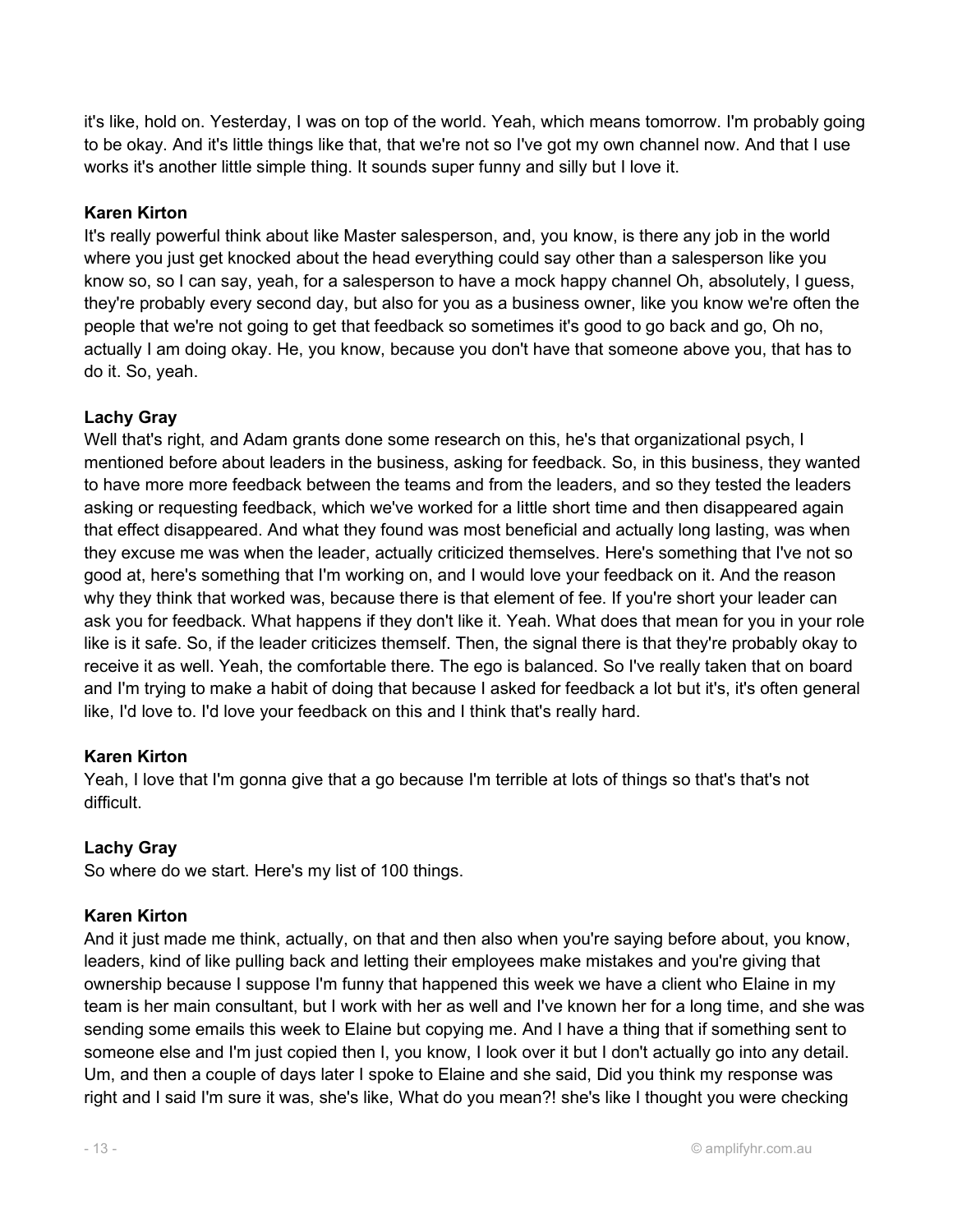it's like, hold on. Yesterday, I was on top of the world. Yeah, which means tomorrow. I'm probably going to be okay. And it's little things like that, that we're not so I've got my own channel now. And that I use works it's another little simple thing. It sounds super funny and silly but I love it.

#### Karen Kirton

It's really powerful think about like Master salesperson, and, you know, is there any job in the world where you just get knocked about the head everything could say other than a salesperson like you know so, so I can say, yeah, for a salesperson to have a mock happy channel Oh, absolutely, I guess, they're probably every second day, but also for you as a business owner, like you know we're often the people that we're not going to get that feedback so sometimes it's good to go back and go, Oh no, actually I am doing okay. He, you know, because you don't have that someone above you, that has to do it. So, yeah.

#### Lachy Gray

Well that's right, and Adam grants done some research on this, he's that organizational psych, I mentioned before about leaders in the business, asking for feedback. So, in this business, they wanted to have more more feedback between the teams and from the leaders, and so they tested the leaders asking or requesting feedback, which we've worked for a little short time and then disappeared again that effect disappeared. And what they found was most beneficial and actually long lasting, was when they excuse me was when the leader, actually criticized themselves. Here's something that I've not so good at, here's something that I'm working on, and I would love your feedback on it. And the reason why they think that worked was, because there is that element of fee. If you're short your leader can ask you for feedback. What happens if they don't like it. Yeah. What does that mean for you in your role like is it safe. So, if the leader criticizes themself. Then, the signal there is that they're probably okay to receive it as well. Yeah, the comfortable there. The ego is balanced. So I've really taken that on board and I'm trying to make a habit of doing that because I asked for feedback a lot but it's, it's often general like, I'd love to. I'd love your feedback on this and I think that's really hard.

#### Karen Kirton

Yeah, I love that I'm gonna give that a go because I'm terrible at lots of things so that's that's not difficult.

## Lachy Gray

So where do we start. Here's my list of 100 things.

#### Karen Kirton

And it just made me think, actually, on that and then also when you're saying before about, you know, leaders, kind of like pulling back and letting their employees make mistakes and you're giving that ownership because I suppose I'm funny that happened this week we have a client who Elaine in my team is her main consultant, but I work with her as well and I've known her for a long time, and she was sending some emails this week to Elaine but copying me. And I have a thing that if something sent to someone else and I'm just copied then I, you know, I look over it but I don't actually go into any detail. Um, and then a couple of days later I spoke to Elaine and she said, Did you think my response was right and I said I'm sure it was, she's like, What do you mean?! she's like I thought you were checking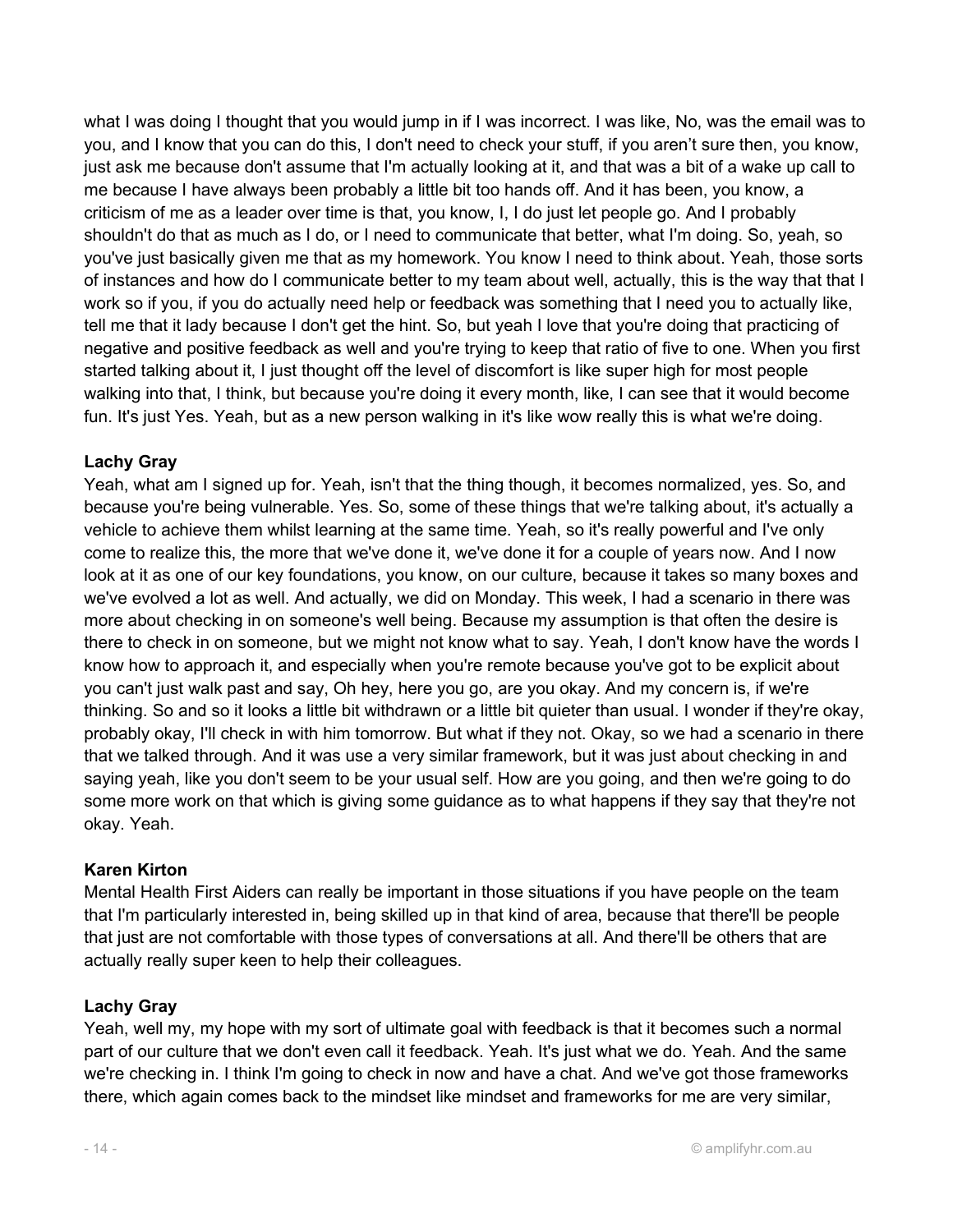what I was doing I thought that you would jump in if I was incorrect. I was like, No, was the email was to you, and I know that you can do this, I don't need to check your stuff, if you aren't sure then, you know, just ask me because don't assume that I'm actually looking at it, and that was a bit of a wake up call to me because I have always been probably a little bit too hands off. And it has been, you know, a criticism of me as a leader over time is that, you know, I, I do just let people go. And I probably shouldn't do that as much as I do, or I need to communicate that better, what I'm doing. So, yeah, so you've just basically given me that as my homework. You know I need to think about. Yeah, those sorts of instances and how do I communicate better to my team about well, actually, this is the way that that I work so if you, if you do actually need help or feedback was something that I need you to actually like, tell me that it lady because I don't get the hint. So, but yeah I love that you're doing that practicing of negative and positive feedback as well and you're trying to keep that ratio of five to one. When you first started talking about it, I just thought off the level of discomfort is like super high for most people walking into that, I think, but because you're doing it every month, like, I can see that it would become fun. It's just Yes. Yeah, but as a new person walking in it's like wow really this is what we're doing.

#### Lachy Gray

Yeah, what am I signed up for. Yeah, isn't that the thing though, it becomes normalized, yes. So, and because you're being vulnerable. Yes. So, some of these things that we're talking about, it's actually a vehicle to achieve them whilst learning at the same time. Yeah, so it's really powerful and I've only come to realize this, the more that we've done it, we've done it for a couple of years now. And I now look at it as one of our key foundations, you know, on our culture, because it takes so many boxes and we've evolved a lot as well. And actually, we did on Monday. This week, I had a scenario in there was more about checking in on someone's well being. Because my assumption is that often the desire is there to check in on someone, but we might not know what to say. Yeah, I don't know have the words I know how to approach it, and especially when you're remote because you've got to be explicit about you can't just walk past and say, Oh hey, here you go, are you okay. And my concern is, if we're thinking. So and so it looks a little bit withdrawn or a little bit quieter than usual. I wonder if they're okay, probably okay, I'll check in with him tomorrow. But what if they not. Okay, so we had a scenario in there that we talked through. And it was use a very similar framework, but it was just about checking in and saying yeah, like you don't seem to be your usual self. How are you going, and then we're going to do some more work on that which is giving some guidance as to what happens if they say that they're not okay. Yeah.

#### Karen Kirton

Mental Health First Aiders can really be important in those situations if you have people on the team that I'm particularly interested in, being skilled up in that kind of area, because that there'll be people that just are not comfortable with those types of conversations at all. And there'll be others that are actually really super keen to help their colleagues.

## Lachy Gray

Yeah, well my, my hope with my sort of ultimate goal with feedback is that it becomes such a normal part of our culture that we don't even call it feedback. Yeah. It's just what we do. Yeah. And the same we're checking in. I think I'm going to check in now and have a chat. And we've got those frameworks there, which again comes back to the mindset like mindset and frameworks for me are very similar,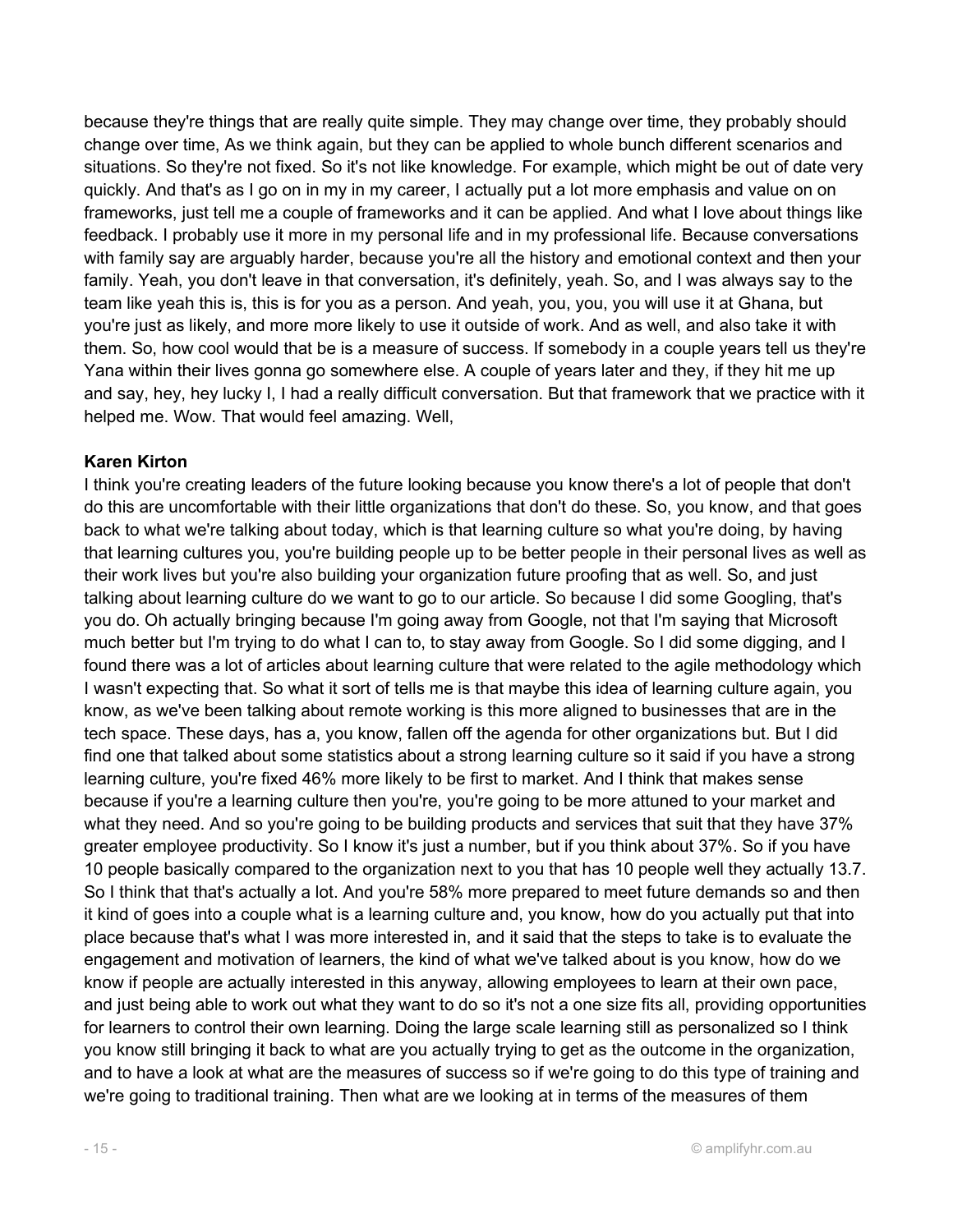because they're things that are really quite simple. They may change over time, they probably should change over time, As we think again, but they can be applied to whole bunch different scenarios and situations. So they're not fixed. So it's not like knowledge. For example, which might be out of date very quickly. And that's as I go on in my in my career, I actually put a lot more emphasis and value on on frameworks, just tell me a couple of frameworks and it can be applied. And what I love about things like feedback. I probably use it more in my personal life and in my professional life. Because conversations with family say are arguably harder, because you're all the history and emotional context and then your family. Yeah, you don't leave in that conversation, it's definitely, yeah. So, and I was always say to the team like yeah this is, this is for you as a person. And yeah, you, you, you will use it at Ghana, but you're just as likely, and more more likely to use it outside of work. And as well, and also take it with them. So, how cool would that be is a measure of success. If somebody in a couple years tell us they're Yana within their lives gonna go somewhere else. A couple of years later and they, if they hit me up and say, hey, hey lucky I, I had a really difficult conversation. But that framework that we practice with it helped me. Wow. That would feel amazing. Well,

#### Karen Kirton

I think you're creating leaders of the future looking because you know there's a lot of people that don't do this are uncomfortable with their little organizations that don't do these. So, you know, and that goes back to what we're talking about today, which is that learning culture so what you're doing, by having that learning cultures you, you're building people up to be better people in their personal lives as well as their work lives but you're also building your organization future proofing that as well. So, and just talking about learning culture do we want to go to our article. So because I did some Googling, that's you do. Oh actually bringing because I'm going away from Google, not that I'm saying that Microsoft much better but I'm trying to do what I can to, to stay away from Google. So I did some digging, and I found there was a lot of articles about learning culture that were related to the agile methodology which I wasn't expecting that. So what it sort of tells me is that maybe this idea of learning culture again, you know, as we've been talking about remote working is this more aligned to businesses that are in the tech space. These days, has a, you know, fallen off the agenda for other organizations but. But I did find one that talked about some statistics about a strong learning culture so it said if you have a strong learning culture, you're fixed 46% more likely to be first to market. And I think that makes sense because if you're a learning culture then you're, you're going to be more attuned to your market and what they need. And so you're going to be building products and services that suit that they have 37% greater employee productivity. So I know it's just a number, but if you think about 37%. So if you have 10 people basically compared to the organization next to you that has 10 people well they actually 13.7. So I think that that's actually a lot. And you're 58% more prepared to meet future demands so and then it kind of goes into a couple what is a learning culture and, you know, how do you actually put that into place because that's what I was more interested in, and it said that the steps to take is to evaluate the engagement and motivation of learners, the kind of what we've talked about is you know, how do we know if people are actually interested in this anyway, allowing employees to learn at their own pace, and just being able to work out what they want to do so it's not a one size fits all, providing opportunities for learners to control their own learning. Doing the large scale learning still as personalized so I think you know still bringing it back to what are you actually trying to get as the outcome in the organization, and to have a look at what are the measures of success so if we're going to do this type of training and we're going to traditional training. Then what are we looking at in terms of the measures of them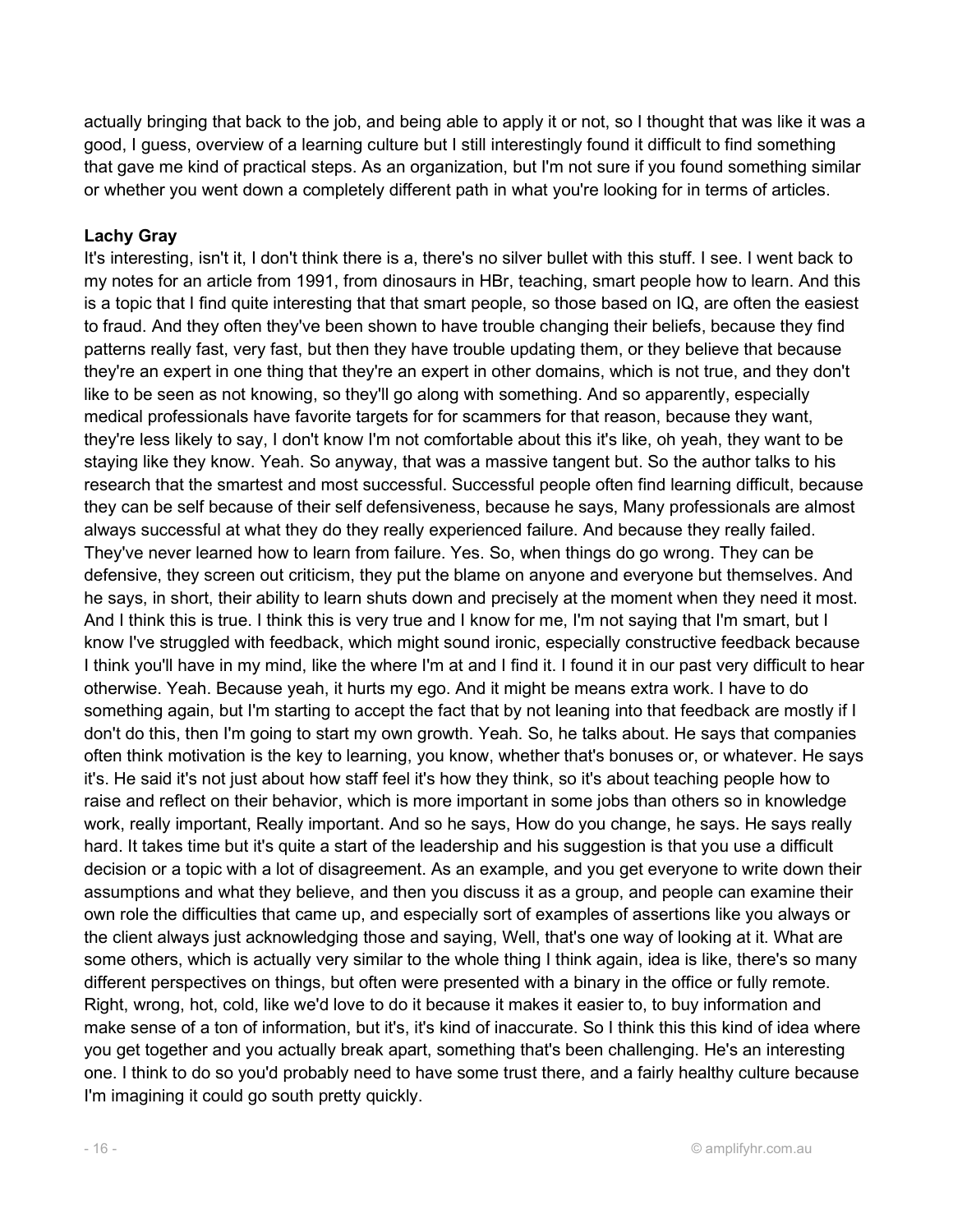actually bringing that back to the job, and being able to apply it or not, so I thought that was like it was a good, I guess, overview of a learning culture but I still interestingly found it difficult to find something that gave me kind of practical steps. As an organization, but I'm not sure if you found something similar or whether you went down a completely different path in what you're looking for in terms of articles.

## Lachy Gray

It's interesting, isn't it, I don't think there is a, there's no silver bullet with this stuff. I see. I went back to my notes for an article from 1991, from dinosaurs in HBr, teaching, smart people how to learn. And this is a topic that I find quite interesting that that smart people, so those based on IQ, are often the easiest to fraud. And they often they've been shown to have trouble changing their beliefs, because they find patterns really fast, very fast, but then they have trouble updating them, or they believe that because they're an expert in one thing that they're an expert in other domains, which is not true, and they don't like to be seen as not knowing, so they'll go along with something. And so apparently, especially medical professionals have favorite targets for for scammers for that reason, because they want, they're less likely to say, I don't know I'm not comfortable about this it's like, oh yeah, they want to be staying like they know. Yeah. So anyway, that was a massive tangent but. So the author talks to his research that the smartest and most successful. Successful people often find learning difficult, because they can be self because of their self defensiveness, because he says, Many professionals are almost always successful at what they do they really experienced failure. And because they really failed. They've never learned how to learn from failure. Yes. So, when things do go wrong. They can be defensive, they screen out criticism, they put the blame on anyone and everyone but themselves. And he says, in short, their ability to learn shuts down and precisely at the moment when they need it most. And I think this is true. I think this is very true and I know for me, I'm not saying that I'm smart, but I know I've struggled with feedback, which might sound ironic, especially constructive feedback because I think you'll have in my mind, like the where I'm at and I find it. I found it in our past very difficult to hear otherwise. Yeah. Because yeah, it hurts my ego. And it might be means extra work. I have to do something again, but I'm starting to accept the fact that by not leaning into that feedback are mostly if I don't do this, then I'm going to start my own growth. Yeah. So, he talks about. He says that companies often think motivation is the key to learning, you know, whether that's bonuses or, or whatever. He says it's. He said it's not just about how staff feel it's how they think, so it's about teaching people how to raise and reflect on their behavior, which is more important in some jobs than others so in knowledge work, really important, Really important. And so he says, How do you change, he says. He says really hard. It takes time but it's quite a start of the leadership and his suggestion is that you use a difficult decision or a topic with a lot of disagreement. As an example, and you get everyone to write down their assumptions and what they believe, and then you discuss it as a group, and people can examine their own role the difficulties that came up, and especially sort of examples of assertions like you always or the client always just acknowledging those and saying, Well, that's one way of looking at it. What are some others, which is actually very similar to the whole thing I think again, idea is like, there's so many different perspectives on things, but often were presented with a binary in the office or fully remote. Right, wrong, hot, cold, like we'd love to do it because it makes it easier to, to buy information and make sense of a ton of information, but it's, it's kind of inaccurate. So I think this this kind of idea where you get together and you actually break apart, something that's been challenging. He's an interesting one. I think to do so you'd probably need to have some trust there, and a fairly healthy culture because I'm imagining it could go south pretty quickly.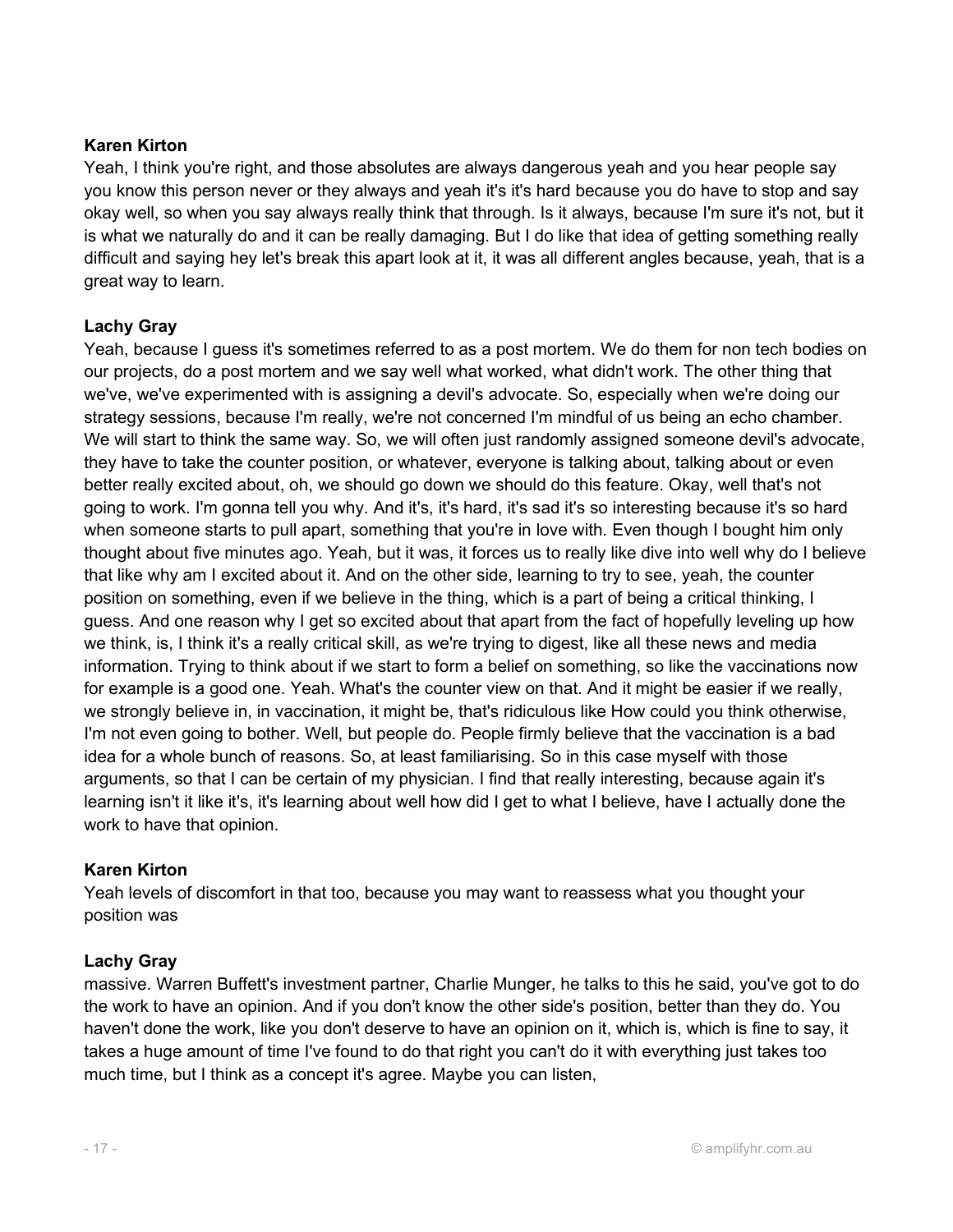#### Karen Kirton

Yeah, I think you're right, and those absolutes are always dangerous yeah and you hear people say you know this person never or they always and yeah it's it's hard because you do have to stop and say okay well, so when you say always really think that through. Is it always, because I'm sure it's not, but it is what we naturally do and it can be really damaging. But I do like that idea of getting something really difficult and saying hey let's break this apart look at it, it was all different angles because, yeah, that is a great way to learn.

## Lachy Gray

Yeah, because I guess it's sometimes referred to as a post mortem. We do them for non tech bodies on our projects, do a post mortem and we say well what worked, what didn't work. The other thing that we've, we've experimented with is assigning a devil's advocate. So, especially when we're doing our strategy sessions, because I'm really, we're not concerned I'm mindful of us being an echo chamber. We will start to think the same way. So, we will often just randomly assigned someone devil's advocate, they have to take the counter position, or whatever, everyone is talking about, talking about or even better really excited about, oh, we should go down we should do this feature. Okay, well that's not going to work. I'm gonna tell you why. And it's, it's hard, it's sad it's so interesting because it's so hard when someone starts to pull apart, something that you're in love with. Even though I bought him only thought about five minutes ago. Yeah, but it was, it forces us to really like dive into well why do I believe that like why am I excited about it. And on the other side, learning to try to see, yeah, the counter position on something, even if we believe in the thing, which is a part of being a critical thinking, I guess. And one reason why I get so excited about that apart from the fact of hopefully leveling up how we think, is, I think it's a really critical skill, as we're trying to digest, like all these news and media information. Trying to think about if we start to form a belief on something, so like the vaccinations now for example is a good one. Yeah. What's the counter view on that. And it might be easier if we really, we strongly believe in, in vaccination, it might be, that's ridiculous like How could you think otherwise, I'm not even going to bother. Well, but people do. People firmly believe that the vaccination is a bad idea for a whole bunch of reasons. So, at least familiarising. So in this case myself with those arguments, so that I can be certain of my physician. I find that really interesting, because again it's learning isn't it like it's, it's learning about well how did I get to what I believe, have I actually done the work to have that opinion.

#### Karen Kirton

Yeah levels of discomfort in that too, because you may want to reassess what you thought your position was

#### Lachy Gray

massive. Warren Buffett's investment partner, Charlie Munger, he talks to this he said, you've got to do the work to have an opinion. And if you don't know the other side's position, better than they do. You haven't done the work, like you don't deserve to have an opinion on it, which is, which is fine to say, it takes a huge amount of time I've found to do that right you can't do it with everything just takes too much time, but I think as a concept it's agree. Maybe you can listen,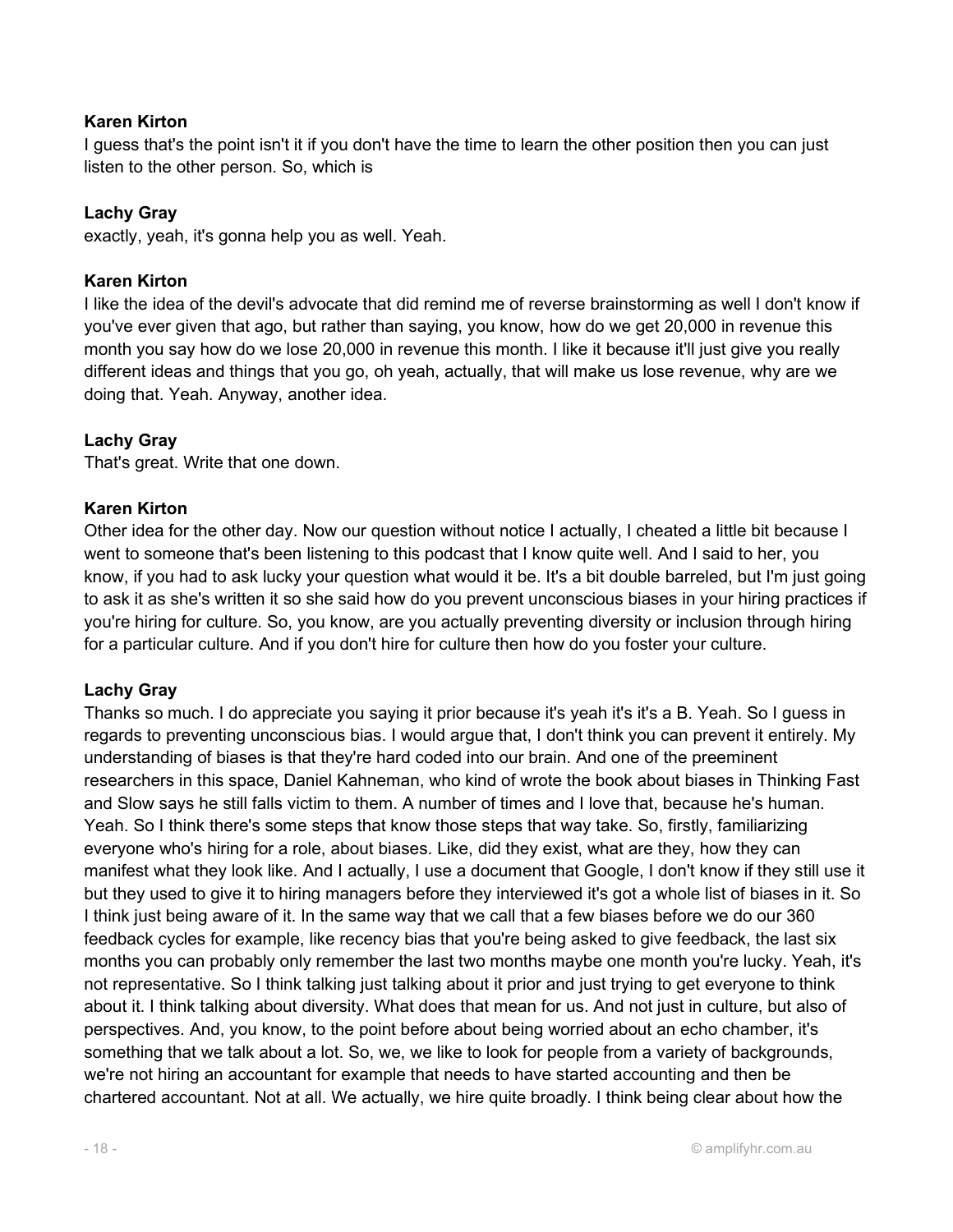#### Karen Kirton

I guess that's the point isn't it if you don't have the time to learn the other position then you can just listen to the other person. So, which is

#### Lachy Gray

exactly, yeah, it's gonna help you as well. Yeah.

#### Karen Kirton

I like the idea of the devil's advocate that did remind me of reverse brainstorming as well I don't know if you've ever given that ago, but rather than saying, you know, how do we get 20,000 in revenue this month you say how do we lose 20,000 in revenue this month. I like it because it'll just give you really different ideas and things that you go, oh yeah, actually, that will make us lose revenue, why are we doing that. Yeah. Anyway, another idea.

## Lachy Gray

That's great. Write that one down.

#### Karen Kirton

Other idea for the other day. Now our question without notice I actually, I cheated a little bit because I went to someone that's been listening to this podcast that I know quite well. And I said to her, you know, if you had to ask lucky your question what would it be. It's a bit double barreled, but I'm just going to ask it as she's written it so she said how do you prevent unconscious biases in your hiring practices if you're hiring for culture. So, you know, are you actually preventing diversity or inclusion through hiring for a particular culture. And if you don't hire for culture then how do you foster your culture.

#### Lachy Gray

Thanks so much. I do appreciate you saying it prior because it's yeah it's it's a B. Yeah. So I guess in regards to preventing unconscious bias. I would argue that, I don't think you can prevent it entirely. My understanding of biases is that they're hard coded into our brain. And one of the preeminent researchers in this space, Daniel Kahneman, who kind of wrote the book about biases in Thinking Fast and Slow says he still falls victim to them. A number of times and I love that, because he's human. Yeah. So I think there's some steps that know those steps that way take. So, firstly, familiarizing everyone who's hiring for a role, about biases. Like, did they exist, what are they, how they can manifest what they look like. And I actually, I use a document that Google, I don't know if they still use it but they used to give it to hiring managers before they interviewed it's got a whole list of biases in it. So I think just being aware of it. In the same way that we call that a few biases before we do our 360 feedback cycles for example, like recency bias that you're being asked to give feedback, the last six months you can probably only remember the last two months maybe one month you're lucky. Yeah, it's not representative. So I think talking just talking about it prior and just trying to get everyone to think about it. I think talking about diversity. What does that mean for us. And not just in culture, but also of perspectives. And, you know, to the point before about being worried about an echo chamber, it's something that we talk about a lot. So, we, we like to look for people from a variety of backgrounds, we're not hiring an accountant for example that needs to have started accounting and then be chartered accountant. Not at all. We actually, we hire quite broadly. I think being clear about how the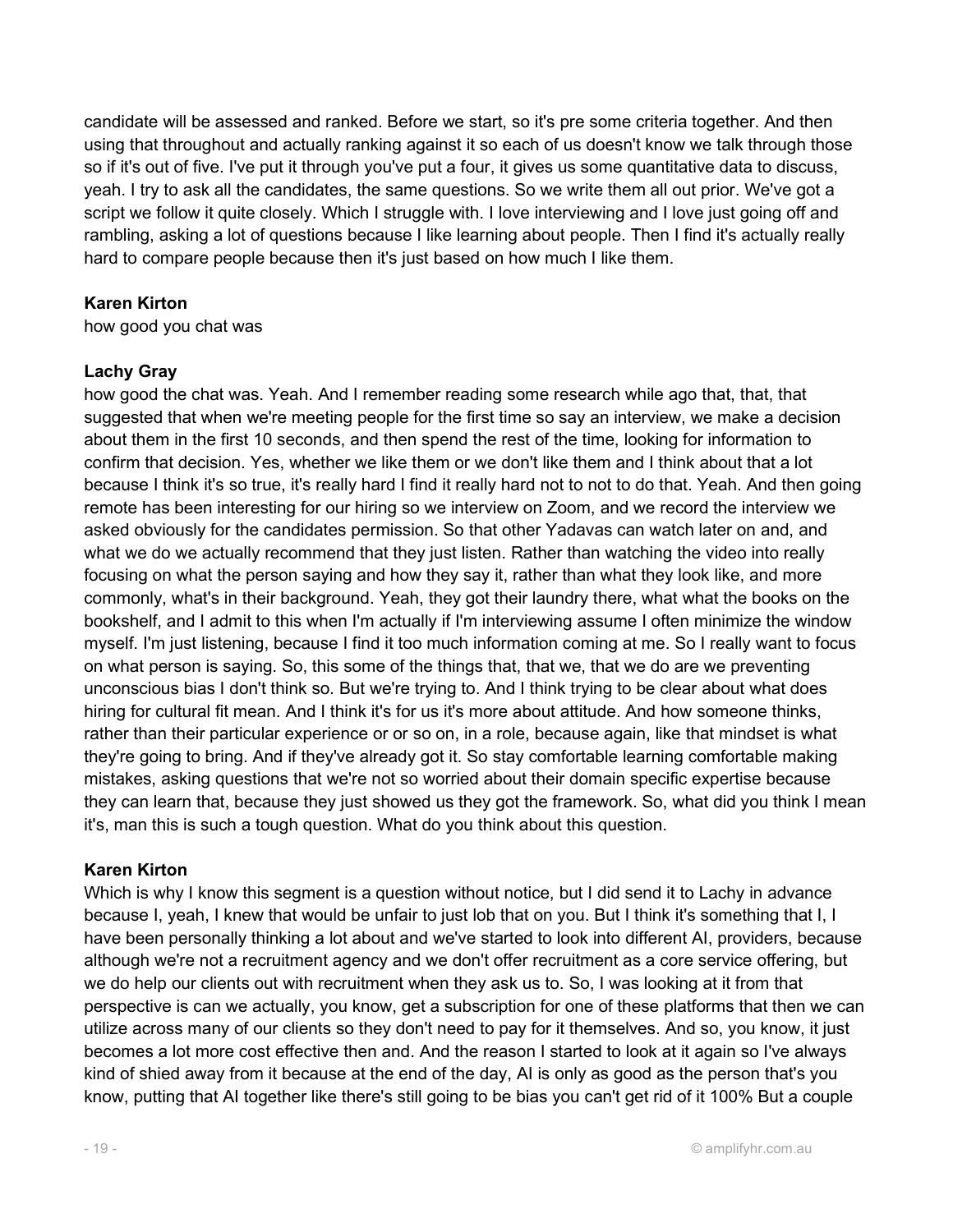candidate will be assessed and ranked. Before we start, so it's pre some criteria together. And then using that throughout and actually ranking against it so each of us doesn't know we talk through those so if it's out of five. I've put it through you've put a four, it gives us some quantitative data to discuss, yeah. I try to ask all the candidates, the same questions. So we write them all out prior. We've got a script we follow it quite closely. Which I struggle with. I love interviewing and I love just going off and rambling, asking a lot of questions because I like learning about people. Then I find it's actually really hard to compare people because then it's just based on how much I like them.

## Karen Kirton

how good you chat was

#### Lachy Gray

how good the chat was. Yeah. And I remember reading some research while ago that, that, that suggested that when we're meeting people for the first time so say an interview, we make a decision about them in the first 10 seconds, and then spend the rest of the time, looking for information to confirm that decision. Yes, whether we like them or we don't like them and I think about that a lot because I think it's so true, it's really hard I find it really hard not to not to do that. Yeah. And then going remote has been interesting for our hiring so we interview on Zoom, and we record the interview we asked obviously for the candidates permission. So that other Yadavas can watch later on and, and what we do we actually recommend that they just listen. Rather than watching the video into really focusing on what the person saying and how they say it, rather than what they look like, and more commonly, what's in their background. Yeah, they got their laundry there, what what the books on the bookshelf, and I admit to this when I'm actually if I'm interviewing assume I often minimize the window myself. I'm just listening, because I find it too much information coming at me. So I really want to focus on what person is saying. So, this some of the things that, that we, that we do are we preventing unconscious bias I don't think so. But we're trying to. And I think trying to be clear about what does hiring for cultural fit mean. And I think it's for us it's more about attitude. And how someone thinks, rather than their particular experience or or so on, in a role, because again, like that mindset is what they're going to bring. And if they've already got it. So stay comfortable learning comfortable making mistakes, asking questions that we're not so worried about their domain specific expertise because they can learn that, because they just showed us they got the framework. So, what did you think I mean it's, man this is such a tough question. What do you think about this question.

#### Karen Kirton

Which is why I know this segment is a question without notice, but I did send it to Lachy in advance because I, yeah, I knew that would be unfair to just lob that on you. But I think it's something that I, I have been personally thinking a lot about and we've started to look into different AI, providers, because although we're not a recruitment agency and we don't offer recruitment as a core service offering, but we do help our clients out with recruitment when they ask us to. So, I was looking at it from that perspective is can we actually, you know, get a subscription for one of these platforms that then we can utilize across many of our clients so they don't need to pay for it themselves. And so, you know, it just becomes a lot more cost effective then and. And the reason I started to look at it again so I've always kind of shied away from it because at the end of the day, AI is only as good as the person that's you know, putting that AI together like there's still going to be bias you can't get rid of it 100% But a couple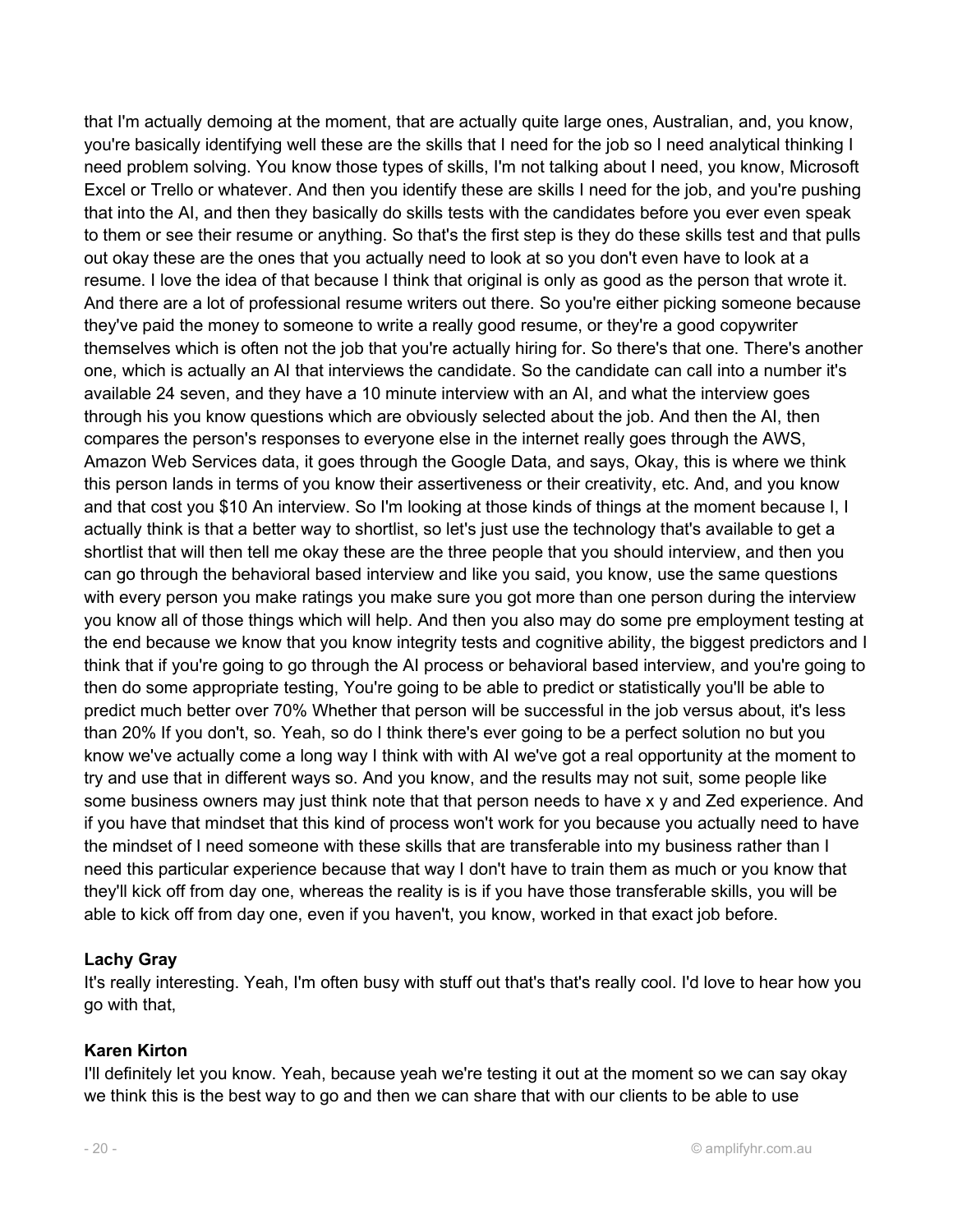that I'm actually demoing at the moment, that are actually quite large ones, Australian, and, you know, you're basically identifying well these are the skills that I need for the job so I need analytical thinking I need problem solving. You know those types of skills, I'm not talking about I need, you know, Microsoft Excel or Trello or whatever. And then you identify these are skills I need for the job, and you're pushing that into the AI, and then they basically do skills tests with the candidates before you ever even speak to them or see their resume or anything. So that's the first step is they do these skills test and that pulls out okay these are the ones that you actually need to look at so you don't even have to look at a resume. I love the idea of that because I think that original is only as good as the person that wrote it. And there are a lot of professional resume writers out there. So you're either picking someone because they've paid the money to someone to write a really good resume, or they're a good copywriter themselves which is often not the job that you're actually hiring for. So there's that one. There's another one, which is actually an AI that interviews the candidate. So the candidate can call into a number it's available 24 seven, and they have a 10 minute interview with an AI, and what the interview goes through his you know questions which are obviously selected about the job. And then the AI, then compares the person's responses to everyone else in the internet really goes through the AWS, Amazon Web Services data, it goes through the Google Data, and says, Okay, this is where we think this person lands in terms of you know their assertiveness or their creativity, etc. And, and you know and that cost you \$10 An interview. So I'm looking at those kinds of things at the moment because I, I actually think is that a better way to shortlist, so let's just use the technology that's available to get a shortlist that will then tell me okay these are the three people that you should interview, and then you can go through the behavioral based interview and like you said, you know, use the same questions with every person you make ratings you make sure you got more than one person during the interview you know all of those things which will help. And then you also may do some pre employment testing at the end because we know that you know integrity tests and cognitive ability, the biggest predictors and I think that if you're going to go through the AI process or behavioral based interview, and you're going to then do some appropriate testing, You're going to be able to predict or statistically you'll be able to predict much better over 70% Whether that person will be successful in the job versus about, it's less than 20% If you don't, so. Yeah, so do I think there's ever going to be a perfect solution no but you know we've actually come a long way I think with with AI we've got a real opportunity at the moment to try and use that in different ways so. And you know, and the results may not suit, some people like some business owners may just think note that that person needs to have x y and Zed experience. And if you have that mindset that this kind of process won't work for you because you actually need to have the mindset of I need someone with these skills that are transferable into my business rather than I need this particular experience because that way I don't have to train them as much or you know that they'll kick off from day one, whereas the reality is is if you have those transferable skills, you will be able to kick off from day one, even if you haven't, you know, worked in that exact job before.

#### Lachy Gray

It's really interesting. Yeah, I'm often busy with stuff out that's that's really cool. I'd love to hear how you go with that,

#### Karen Kirton

I'll definitely let you know. Yeah, because yeah we're testing it out at the moment so we can say okay we think this is the best way to go and then we can share that with our clients to be able to use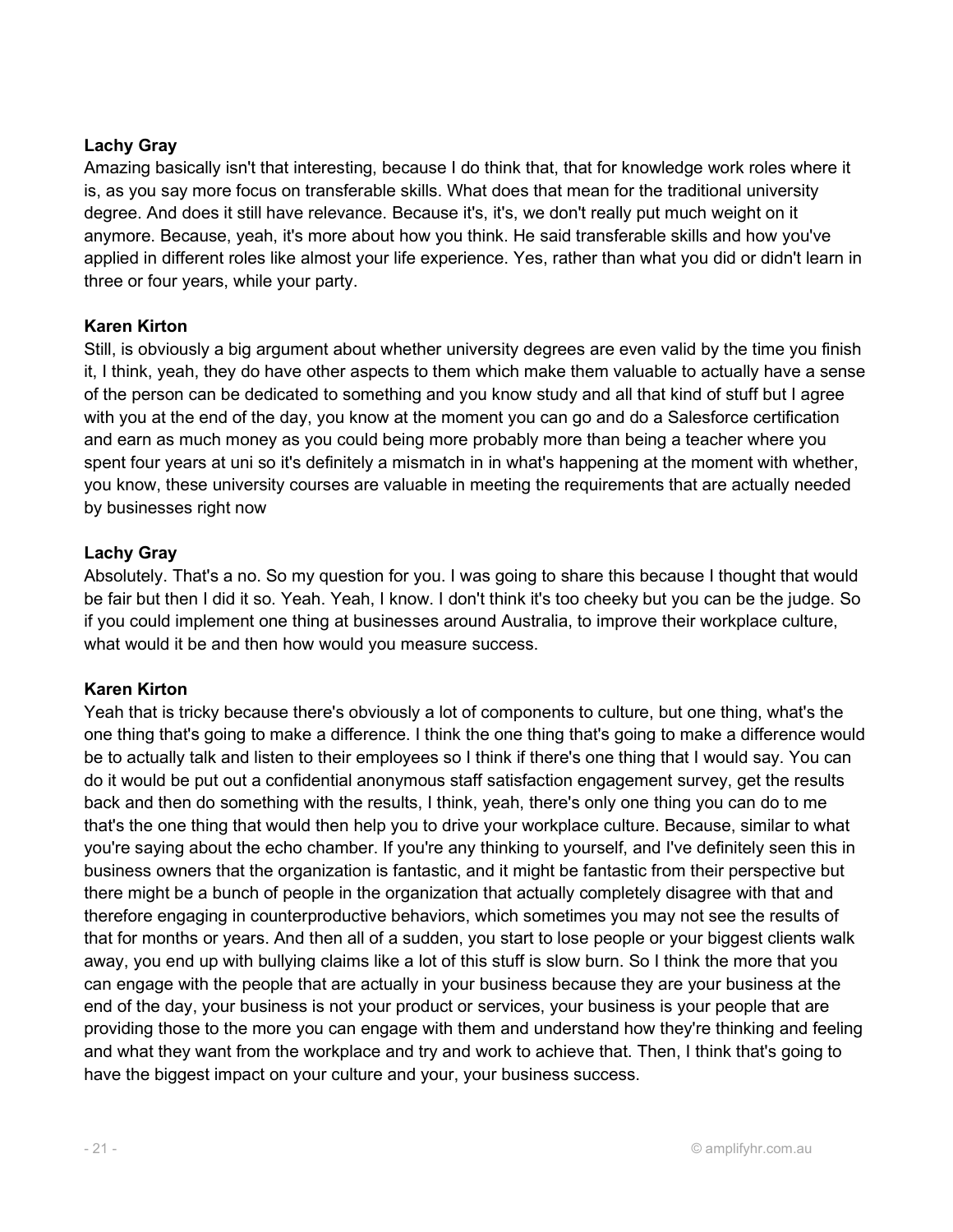## Lachy Gray

Amazing basically isn't that interesting, because I do think that, that for knowledge work roles where it is, as you say more focus on transferable skills. What does that mean for the traditional university degree. And does it still have relevance. Because it's, it's, we don't really put much weight on it anymore. Because, yeah, it's more about how you think. He said transferable skills and how you've applied in different roles like almost your life experience. Yes, rather than what you did or didn't learn in three or four years, while your party.

#### Karen Kirton

Still, is obviously a big argument about whether university degrees are even valid by the time you finish it, I think, yeah, they do have other aspects to them which make them valuable to actually have a sense of the person can be dedicated to something and you know study and all that kind of stuff but I agree with you at the end of the day, you know at the moment you can go and do a Salesforce certification and earn as much money as you could being more probably more than being a teacher where you spent four years at uni so it's definitely a mismatch in in what's happening at the moment with whether, you know, these university courses are valuable in meeting the requirements that are actually needed by businesses right now

#### Lachy Gray

Absolutely. That's a no. So my question for you. I was going to share this because I thought that would be fair but then I did it so. Yeah. Yeah, I know. I don't think it's too cheeky but you can be the judge. So if you could implement one thing at businesses around Australia, to improve their workplace culture, what would it be and then how would you measure success.

## Karen Kirton

Yeah that is tricky because there's obviously a lot of components to culture, but one thing, what's the one thing that's going to make a difference. I think the one thing that's going to make a difference would be to actually talk and listen to their employees so I think if there's one thing that I would say. You can do it would be put out a confidential anonymous staff satisfaction engagement survey, get the results back and then do something with the results, I think, yeah, there's only one thing you can do to me that's the one thing that would then help you to drive your workplace culture. Because, similar to what you're saying about the echo chamber. If you're any thinking to yourself, and I've definitely seen this in business owners that the organization is fantastic, and it might be fantastic from their perspective but there might be a bunch of people in the organization that actually completely disagree with that and therefore engaging in counterproductive behaviors, which sometimes you may not see the results of that for months or years. And then all of a sudden, you start to lose people or your biggest clients walk away, you end up with bullying claims like a lot of this stuff is slow burn. So I think the more that you can engage with the people that are actually in your business because they are your business at the end of the day, your business is not your product or services, your business is your people that are providing those to the more you can engage with them and understand how they're thinking and feeling and what they want from the workplace and try and work to achieve that. Then, I think that's going to have the biggest impact on your culture and your, your business success.